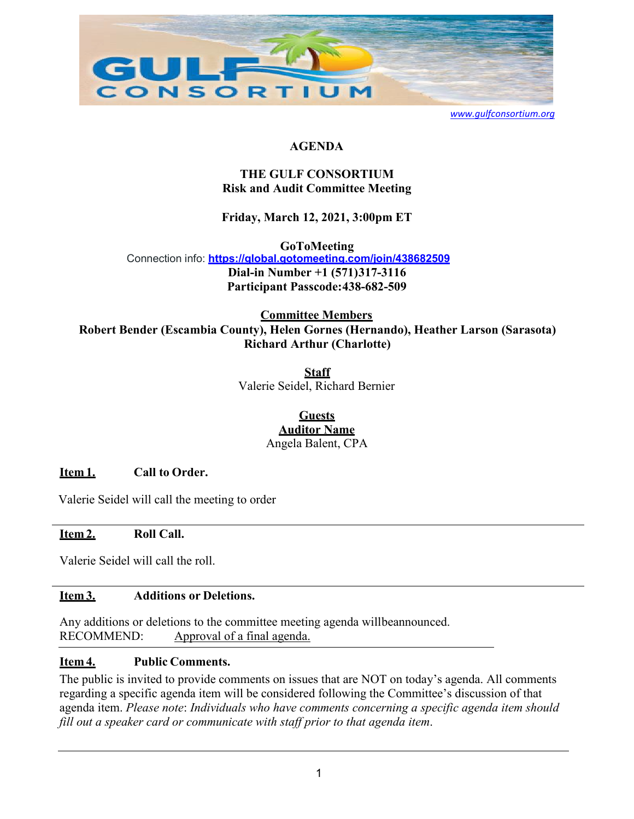

*[www.gulfconsortium.org](http://www.gulfconsortium.org/)*

# **AGENDA**

# **THE GULF CONSORTIUM Risk and Audit Committee Meeting**

**Friday, March 12, 2021, 3:00pm ET** 

**GoToMeeting** Connection info: **<https://global.gotomeeting.com/join/438682509> Dial-in Number +1 (571)317-3116 Participant Passcode:438-682-509**

**Committee Members Robert Bender (Escambia County), Helen Gornes (Hernando), Heather Larson (Sarasota) Richard Arthur (Charlotte)**

> **Staff** Valerie Seidel, Richard Bernier

> > **Guests Auditor Name** Angela Balent, CPA

**Item1. Call to Order.**

Valerie Seidel will call the meeting to order

**Item2. Roll Call.**

Valerie Seidel will call the roll.

# **Item3. Additions or Deletions.**

Any additions or deletions to the committee meeting agenda willbeannounced.<br>RECOMMEND: Approval of a final agenda. Approval of a final agenda.

### **Item4. Public Comments.**

The public is invited to provide comments on issues that are NOT on today's agenda. All comments regarding a specific agenda item will be considered following the Committee's discussion of that agenda item. *Please note*: *Individuals who have comments concerning a specific agenda item should fill out a speaker card or communicate with staff prior to that agenda item*.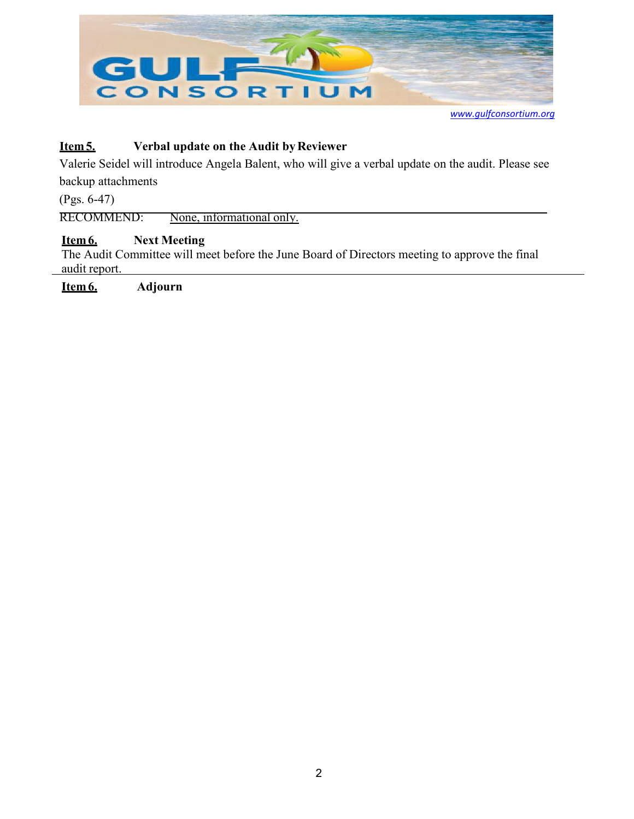

*[www.gulfconsortium.org](http://www.gulfconsortium.org/)*

# **Item5. Verbal update on the Audit by Reviewer**

Valerie Seidel will introduce Angela Balent, who will give a verbal update on the audit. Please see backup attachments

(Pgs. 6-47)

RECOMMEND: None, informational only.

# **Item6. Next Meeting**

The Audit Committee will meet before the June Board of Directors meeting to approve the final audit report.

**Item6. Adjourn**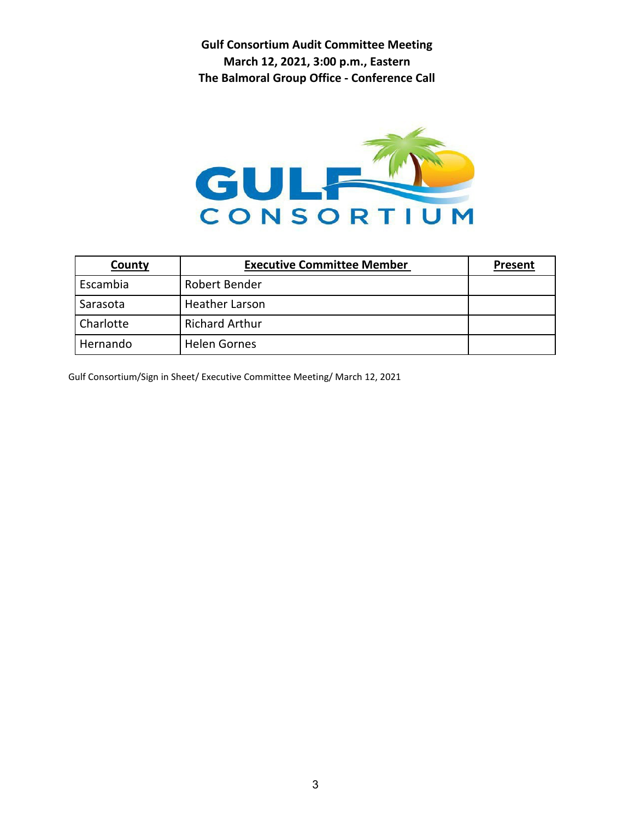**Gulf Consortium Audit Committee Meeting March 12, 2021, 3:00 p.m., Eastern The Balmoral Group Office - Conference Call**



| County    | <b>Executive Committee Member</b> | <b>Present</b> |
|-----------|-----------------------------------|----------------|
| Escambia  | Robert Bender                     |                |
| Sarasota  | <b>Heather Larson</b>             |                |
| Charlotte | <b>Richard Arthur</b>             |                |
| Hernando  | <b>Helen Gornes</b>               |                |

Gulf Consortium/Sign in Sheet/ Executive Committee Meeting/ March 12, 2021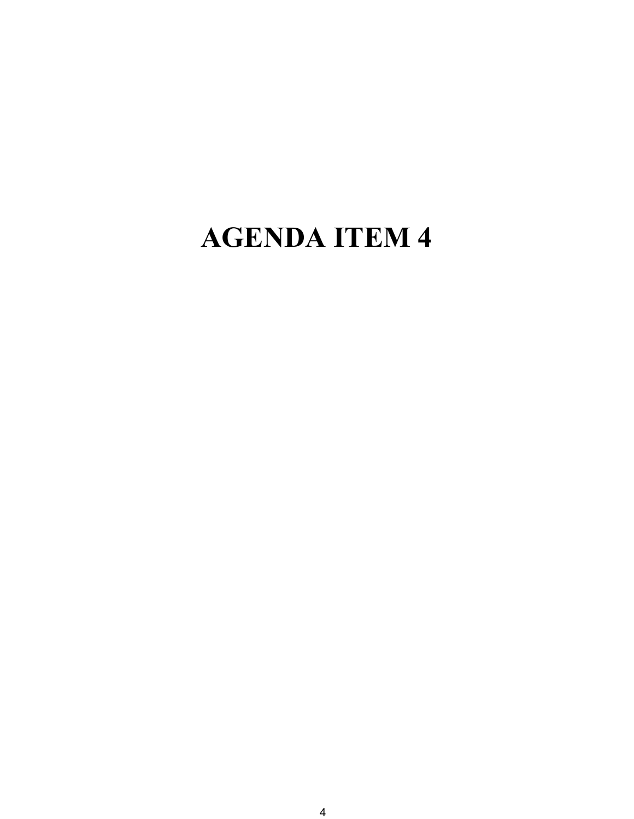# **AGENDA ITEM 4**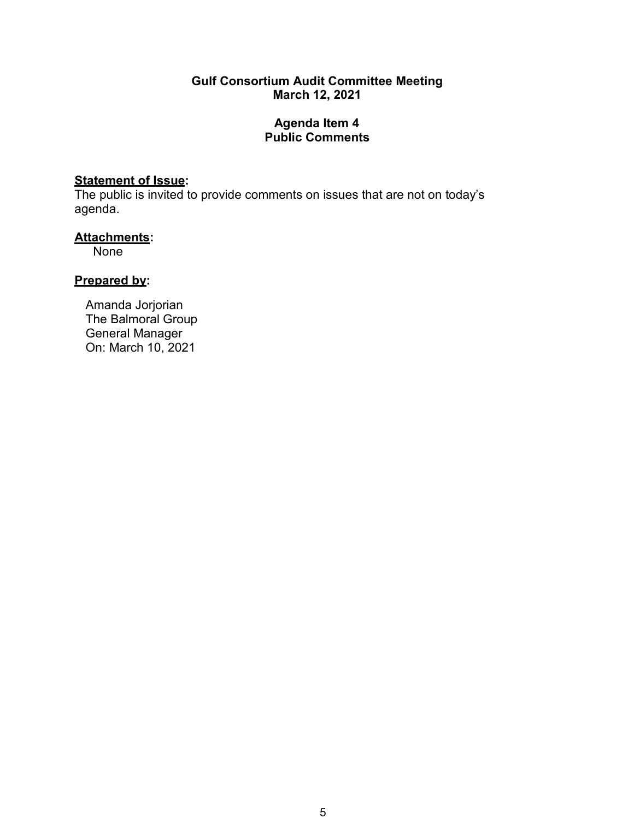# **Gulf Consortium Audit Committee Meeting March 12, 2021**

# **Agenda Item 4 Public Comments**

# **Statement of Issue:**

The public is invited to provide comments on issues that are not on today's agenda.

# **Attachments:**

None

# **Prepared by:**

Amanda Jorjorian The Balmoral Group General Manager On: March 10, 2021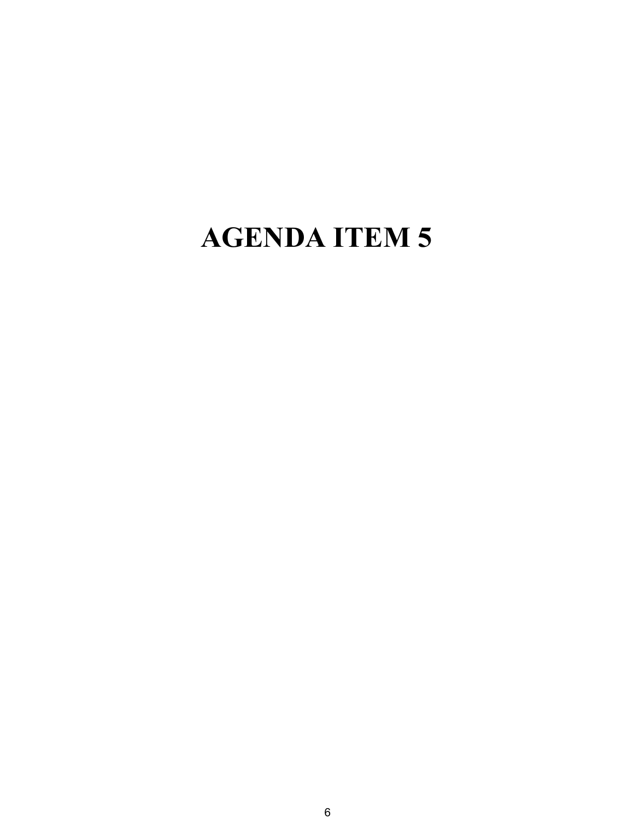# **AGENDA ITEM 5**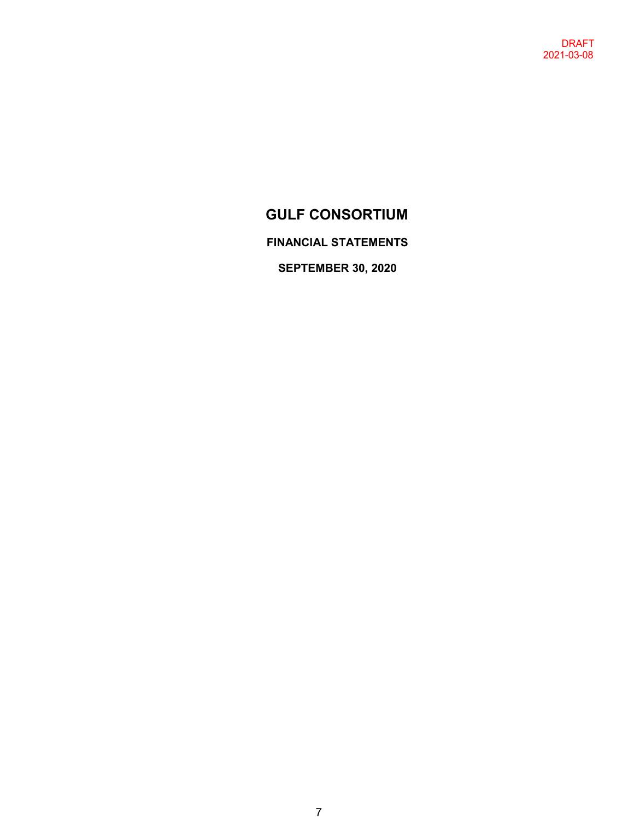# **GULF CONSORTIUM**

# **FINANCIAL STATEMENTS**

**SEPTEMBER 30, 2020**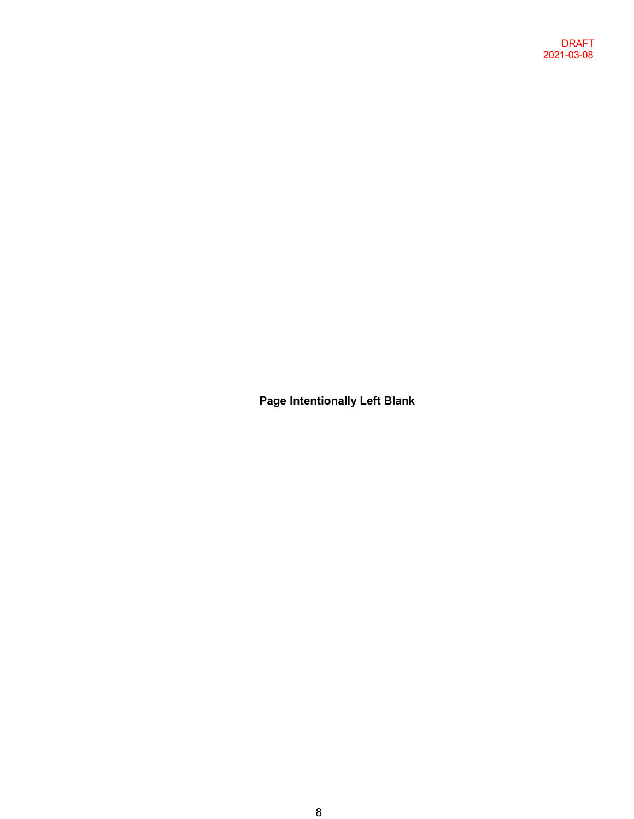**Page Intentionally Left Blank**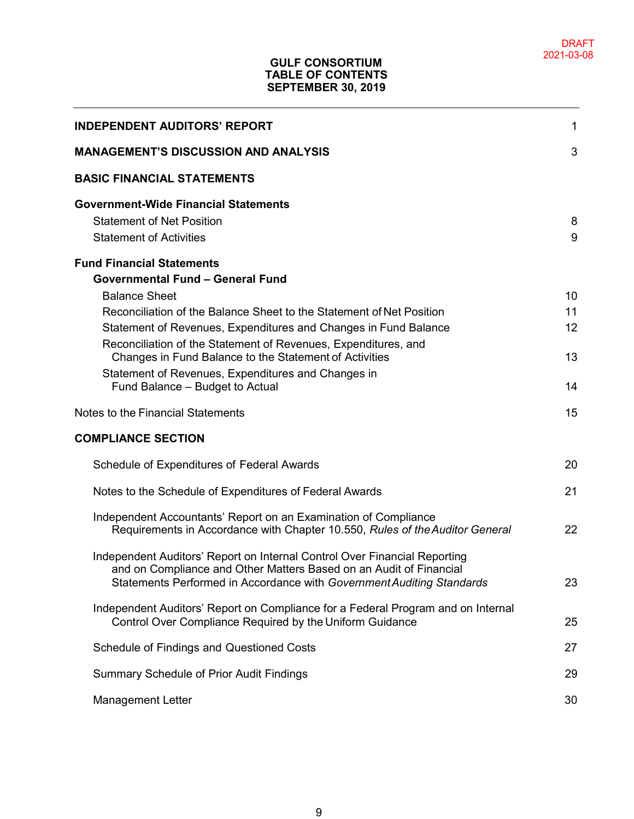# 2021-03-08 **GULF CONSORTIUM TABLE OF CONTENTS SEPTEMBER 30, 2019**

| <b>INDEPENDENT AUDITORS' REPORT</b>                                                                                                                                                                                      | 1  |
|--------------------------------------------------------------------------------------------------------------------------------------------------------------------------------------------------------------------------|----|
| <b>MANAGEMENT'S DISCUSSION AND ANALYSIS</b>                                                                                                                                                                              | 3  |
| <b>BASIC FINANCIAL STATEMENTS</b>                                                                                                                                                                                        |    |
| <b>Government-Wide Financial Statements</b>                                                                                                                                                                              |    |
| <b>Statement of Net Position</b>                                                                                                                                                                                         | 8  |
| <b>Statement of Activities</b>                                                                                                                                                                                           | 9  |
| <b>Fund Financial Statements</b>                                                                                                                                                                                         |    |
| <b>Governmental Fund - General Fund</b>                                                                                                                                                                                  |    |
| <b>Balance Sheet</b>                                                                                                                                                                                                     | 10 |
| Reconciliation of the Balance Sheet to the Statement of Net Position                                                                                                                                                     | 11 |
| Statement of Revenues, Expenditures and Changes in Fund Balance                                                                                                                                                          | 12 |
| Reconciliation of the Statement of Revenues, Expenditures, and                                                                                                                                                           |    |
| Changes in Fund Balance to the Statement of Activities                                                                                                                                                                   | 13 |
| Statement of Revenues, Expenditures and Changes in                                                                                                                                                                       |    |
| Fund Balance - Budget to Actual                                                                                                                                                                                          | 14 |
| Notes to the Financial Statements                                                                                                                                                                                        | 15 |
| <b>COMPLIANCE SECTION</b>                                                                                                                                                                                                |    |
| Schedule of Expenditures of Federal Awards                                                                                                                                                                               | 20 |
| Notes to the Schedule of Expenditures of Federal Awards                                                                                                                                                                  | 21 |
| Independent Accountants' Report on an Examination of Compliance<br>Requirements in Accordance with Chapter 10.550, Rules of the Auditor General                                                                          | 22 |
| Independent Auditors' Report on Internal Control Over Financial Reporting<br>and on Compliance and Other Matters Based on an Audit of Financial<br>Statements Performed in Accordance with Government Auditing Standards | 23 |
| Independent Auditors' Report on Compliance for a Federal Program and on Internal<br>Control Over Compliance Required by the Uniform Guidance                                                                             | 25 |
| Schedule of Findings and Questioned Costs                                                                                                                                                                                | 27 |
| <b>Summary Schedule of Prior Audit Findings</b>                                                                                                                                                                          | 29 |
| <b>Management Letter</b>                                                                                                                                                                                                 | 30 |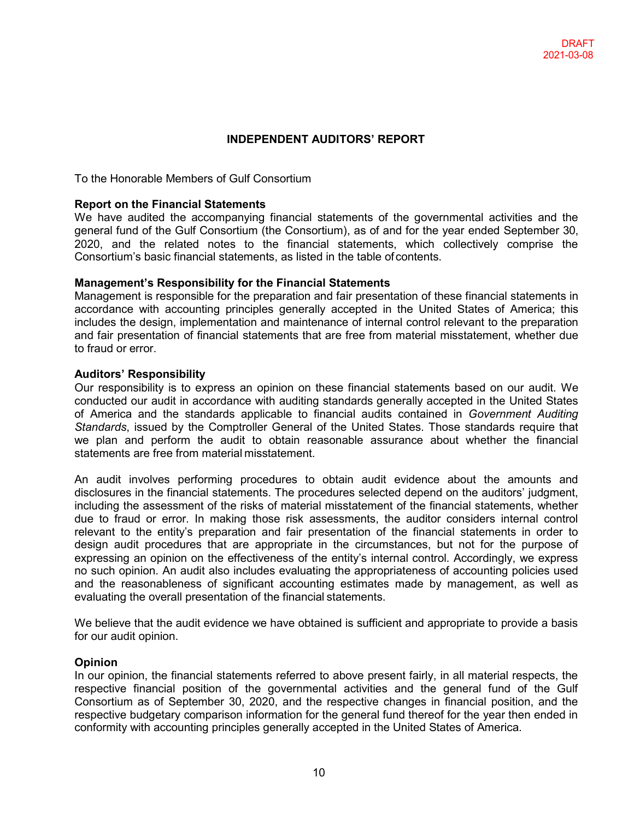### **INDEPENDENT AUDITORS' REPORT**

<span id="page-9-0"></span>To the Honorable Members of Gulf Consortium

#### **Report on the Financial Statements**

We have audited the accompanying financial statements of the governmental activities and the general fund of the Gulf Consortium (the Consortium), as of and for the year ended September 30, 2020, and the related notes to the financial statements, which collectively comprise the Consortium's basic financial statements, as listed in the table of contents.

#### **Management's Responsibility for the Financial Statements**

Management is responsible for the preparation and fair presentation of these financial statements in accordance with accounting principles generally accepted in the United States of America; this includes the design, implementation and maintenance of internal control relevant to the preparation and fair presentation of financial statements that are free from material misstatement, whether due to fraud or error.

#### **Auditors' Responsibility**

Our responsibility is to express an opinion on these financial statements based on our audit. We conducted our audit in accordance with auditing standards generally accepted in the United States of America and the standards applicable to financial audits contained in *Government Auditing Standards*, issued by the Comptroller General of the United States. Those standards require that we plan and perform the audit to obtain reasonable assurance about whether the financial statements are free from material misstatement.

An audit involves performing procedures to obtain audit evidence about the amounts and disclosures in the financial statements. The procedures selected depend on the auditors' judgment, including the assessment of the risks of material misstatement of the financial statements, whether due to fraud or error. In making those risk assessments, the auditor considers internal control relevant to the entity's preparation and fair presentation of the financial statements in order to design audit procedures that are appropriate in the circumstances, but not for the purpose of expressing an opinion on the effectiveness of the entity's internal control. Accordingly, we express no such opinion. An audit also includes evaluating the appropriateness of accounting policies used and the reasonableness of significant accounting estimates made by management, as well as evaluating the overall presentation of the financial statements.

We believe that the audit evidence we have obtained is sufficient and appropriate to provide a basis for our audit opinion.

#### **Opinion**

In our opinion, the financial statements referred to above present fairly, in all material respects, the respective financial position of the governmental activities and the general fund of the Gulf Consortium as of September 30, 2020, and the respective changes in financial position, and the respective budgetary comparison information for the general fund thereof for the year then ended in conformity with accounting principles generally accepted in the United States of America.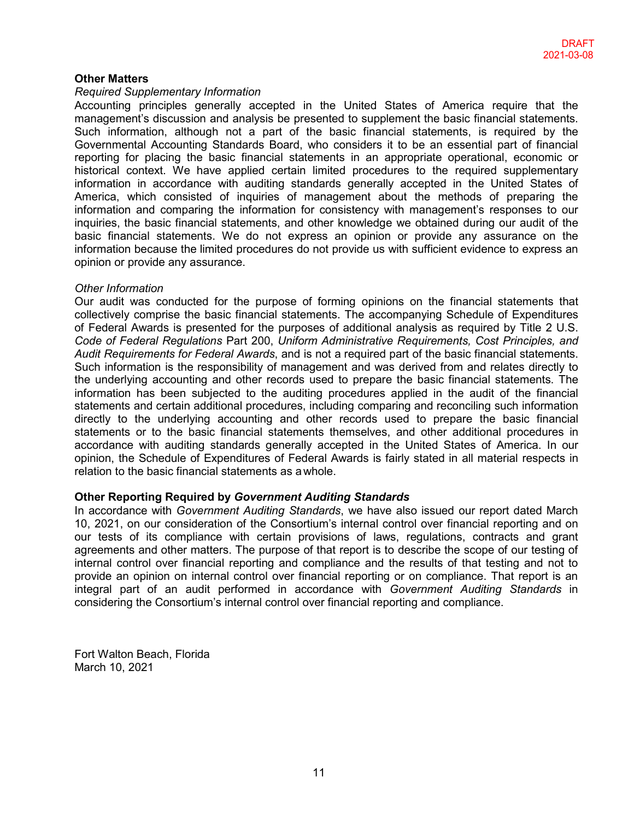#### **Other Matters**

#### *Required Supplementary Information*

Accounting principles generally accepted in the United States of America require that the management's discussion and analysis be presented to supplement the basic financial statements. Such information, although not a part of the basic financial statements, is required by the Governmental Accounting Standards Board, who considers it to be an essential part of financial reporting for placing the basic financial statements in an appropriate operational, economic or historical context. We have applied certain limited procedures to the required supplementary information in accordance with auditing standards generally accepted in the United States of America, which consisted of inquiries of management about the methods of preparing the information and comparing the information for consistency with management's responses to our inquiries, the basic financial statements, and other knowledge we obtained during our audit of the basic financial statements. We do not express an opinion or provide any assurance on the information because the limited procedures do not provide us with sufficient evidence to express an opinion or provide any assurance.

#### *Other Information*

Our audit was conducted for the purpose of forming opinions on the financial statements that collectively comprise the basic financial statements. The accompanying Schedule of Expenditures of Federal Awards is presented for the purposes of additional analysis as required by Title 2 U.S. *Code of Federal Regulations* Part 200, *Uniform Administrative Requirements, Cost Principles, and Audit Requirements for Federal Awards*, and is not a required part of the basic financial statements. Such information is the responsibility of management and was derived from and relates directly to the underlying accounting and other records used to prepare the basic financial statements. The information has been subjected to the auditing procedures applied in the audit of the financial statements and certain additional procedures, including comparing and reconciling such information directly to the underlying accounting and other records used to prepare the basic financial statements or to the basic financial statements themselves, and other additional procedures in accordance with auditing standards generally accepted in the United States of America. In our opinion, the Schedule of Expenditures of Federal Awards is fairly stated in all material respects in relation to the basic financial statements as awhole.

#### **Other Reporting Required by** *Government Auditing Standards*

In accordance with *Government Auditing Standards*, we have also issued our report dated March 10, 2021, on our consideration of the Consortium's internal control over financial reporting and on our tests of its compliance with certain provisions of laws, regulations, contracts and grant agreements and other matters. The purpose of that report is to describe the scope of our testing of internal control over financial reporting and compliance and the results of that testing and not to provide an opinion on internal control over financial reporting or on compliance. That report is an integral part of an audit performed in accordance with *Government Auditing Standards* in considering the Consortium's internal control over financial reporting and compliance.

Fort Walton Beach, Florida March 10, 2021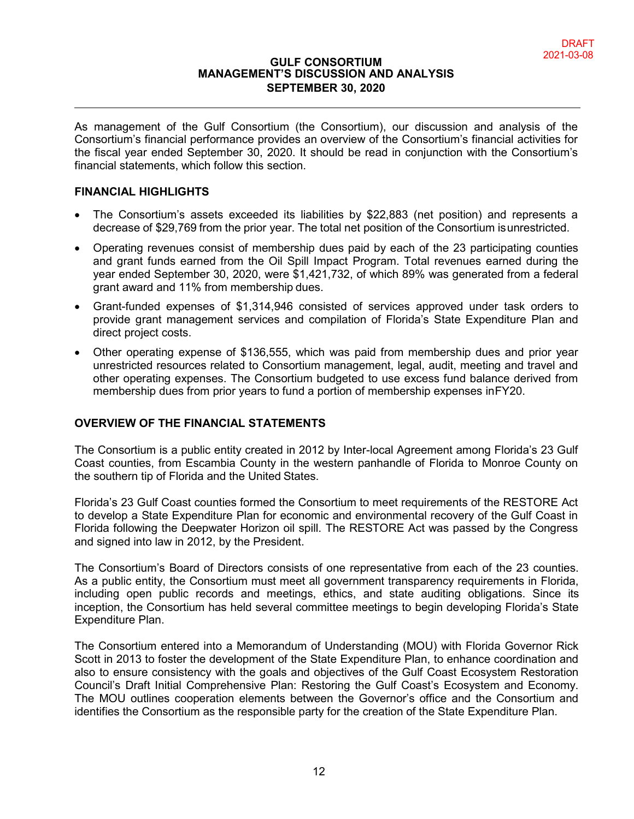As management of the Gulf Consortium (the Consortium), our discussion and analysis of the Consortium's financial performance provides an overview of the Consortium's financial activities for the fiscal year ended September 30, 2020. It should be read in conjunction with the Consortium's financial statements, which follow this section.

#### **FINANCIAL HIGHLIGHTS**

- The Consortium's assets exceeded its liabilities by \$22,883 (net position) and represents a decrease of \$29,769 from the prior year. The total net position of the Consortium isunrestricted.
- Operating revenues consist of membership dues paid by each of the 23 participating counties and grant funds earned from the Oil Spill Impact Program. Total revenues earned during the year ended September 30, 2020, were \$1,421,732, of which 89% was generated from a federal grant award and 11% from membership dues.
- Grant-funded expenses of \$1,314,946 consisted of services approved under task orders to provide grant management services and compilation of Florida's State Expenditure Plan and direct project costs.
- Other operating expense of \$136,555, which was paid from membership dues and prior year unrestricted resources related to Consortium management, legal, audit, meeting and travel and other operating expenses. The Consortium budgeted to use excess fund balance derived from membership dues from prior years to fund a portion of membership expenses inFY20.

### **OVERVIEW OF THE FINANCIAL STATEMENTS**

The Consortium is a public entity created in 2012 by Inter-local Agreement among Florida's 23 Gulf Coast counties, from Escambia County in the western panhandle of Florida to Monroe County on the southern tip of Florida and the United States.

Florida's 23 Gulf Coast counties formed the Consortium to meet requirements of the RESTORE Act to develop a State Expenditure Plan for economic and environmental recovery of the Gulf Coast in Florida following the Deepwater Horizon oil spill. The RESTORE Act was passed by the Congress and signed into law in 2012, by the President.

The Consortium's Board of Directors consists of one representative from each of the 23 counties. As a public entity, the Consortium must meet all government transparency requirements in Florida, including open public records and meetings, ethics, and state auditing obligations. Since its inception, the Consortium has held several committee meetings to begin developing Florida's State Expenditure Plan.

The Consortium entered into a Memorandum of Understanding (MOU) with Florida Governor Rick Scott in 2013 to foster the development of the State Expenditure Plan, to enhance coordination and also to ensure consistency with the goals and objectives of the Gulf Coast Ecosystem Restoration Council's Draft Initial Comprehensive Plan: Restoring the Gulf Coast's Ecosystem and Economy. The MOU outlines cooperation elements between the Governor's office and the Consortium and identifies the Consortium as the responsible party for the creation of the State Expenditure Plan.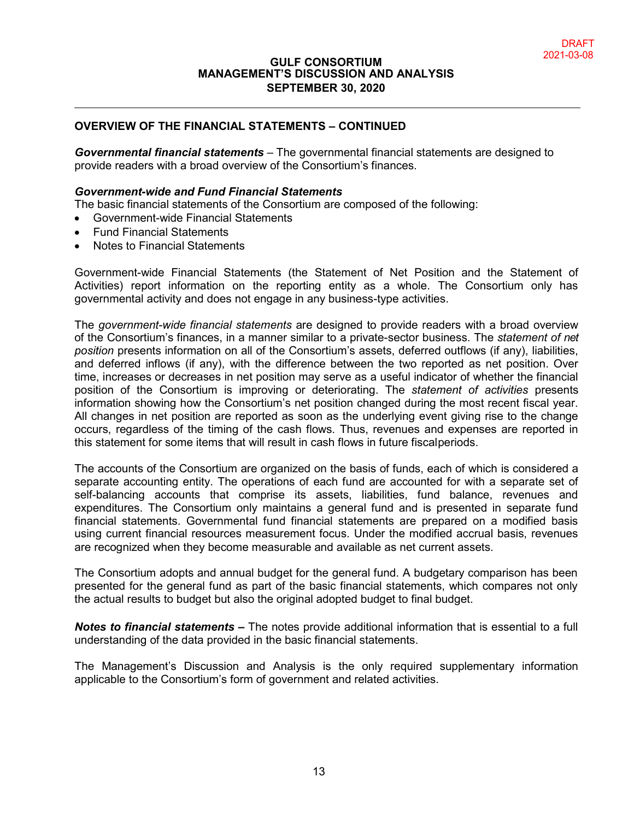# **OVERVIEW OF THE FINANCIAL STATEMENTS – CONTINUED**

*Governmental financial statements* – The governmental financial statements are designed to provide readers with a broad overview of the Consortium's finances.

#### *Government-wide and Fund Financial Statements*

The basic financial statements of the Consortium are composed of the following:

- Government-wide Financial Statements
- Fund Financial Statements
- Notes to Financial Statements

Government-wide Financial Statements (the Statement of Net Position and the Statement of Activities) report information on the reporting entity as a whole. The Consortium only has governmental activity and does not engage in any business-type activities.

The *government-wide financial statements* are designed to provide readers with a broad overview of the Consortium's finances, in a manner similar to a private-sector business. The *statement of net position* presents information on all of the Consortium's assets, deferred outflows (if any), liabilities, and deferred inflows (if any), with the difference between the two reported as net position. Over time, increases or decreases in net position may serve as a useful indicator of whether the financial position of the Consortium is improving or deteriorating. The *statement of activities* presents information showing how the Consortium's net position changed during the most recent fiscal year. All changes in net position are reported as soon as the underlying event giving rise to the change occurs, regardless of the timing of the cash flows. Thus, revenues and expenses are reported in this statement for some items that will result in cash flows in future fiscalperiods.

The accounts of the Consortium are organized on the basis of funds, each of which is considered a separate accounting entity. The operations of each fund are accounted for with a separate set of self-balancing accounts that comprise its assets, liabilities, fund balance, revenues and expenditures. The Consortium only maintains a general fund and is presented in separate fund financial statements. Governmental fund financial statements are prepared on a modified basis using current financial resources measurement focus. Under the modified accrual basis, revenues are recognized when they become measurable and available as net current assets.

The Consortium adopts and annual budget for the general fund. A budgetary comparison has been presented for the general fund as part of the basic financial statements, which compares not only the actual results to budget but also the original adopted budget to final budget.

*Notes to financial statements –* The notes provide additional information that is essential to a full understanding of the data provided in the basic financial statements.

The Management's Discussion and Analysis is the only required supplementary information applicable to the Consortium's form of government and related activities.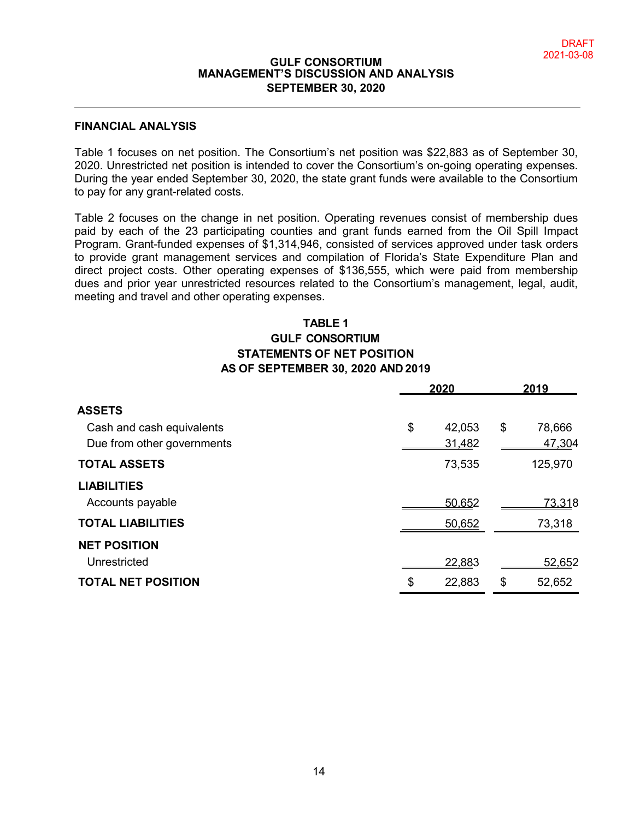#### **FINANCIAL ANALYSIS**

Table 1 focuses on net position. The Consortium's net position was \$22,883 as of September 30, 2020. Unrestricted net position is intended to cover the Consortium's on-going operating expenses. During the year ended September 30, 2020, the state grant funds were available to the Consortium to pay for any grant-related costs.

Table 2 focuses on the change in net position. Operating revenues consist of membership dues paid by each of the 23 participating counties and grant funds earned from the Oil Spill Impact Program. Grant-funded expenses of \$1,314,946, consisted of services approved under task orders to provide grant management services and compilation of Florida's State Expenditure Plan and direct project costs. Other operating expenses of \$136,555, which were paid from membership dues and prior year unrestricted resources related to the Consortium's management, legal, audit, meeting and travel and other operating expenses.

# **TABLE 1 GULF CONSORTIUM STATEMENTS OF NET POSITION AS OF SEPTEMBER 30, 2020 AND 2019**

|                            | 2020 |        | 2019 |         |
|----------------------------|------|--------|------|---------|
| <b>ASSETS</b>              |      |        |      |         |
| Cash and cash equivalents  | \$   | 42,053 | S    | 78,666  |
| Due from other governments |      | 31,482 |      | 47,304  |
| <b>TOTAL ASSETS</b>        |      | 73,535 |      | 125,970 |
| <b>LIABILITIES</b>         |      |        |      |         |
| Accounts payable           |      | 50,652 |      | 73,318  |
| <b>TOTAL LIABILITIES</b>   |      | 50,652 |      | 73,318  |
| <b>NET POSITION</b>        |      |        |      |         |
| Unrestricted               |      | 22,883 |      | 52,652  |
| <b>TOTAL NET POSITION</b>  | \$   | 22,883 | \$   | 52,652  |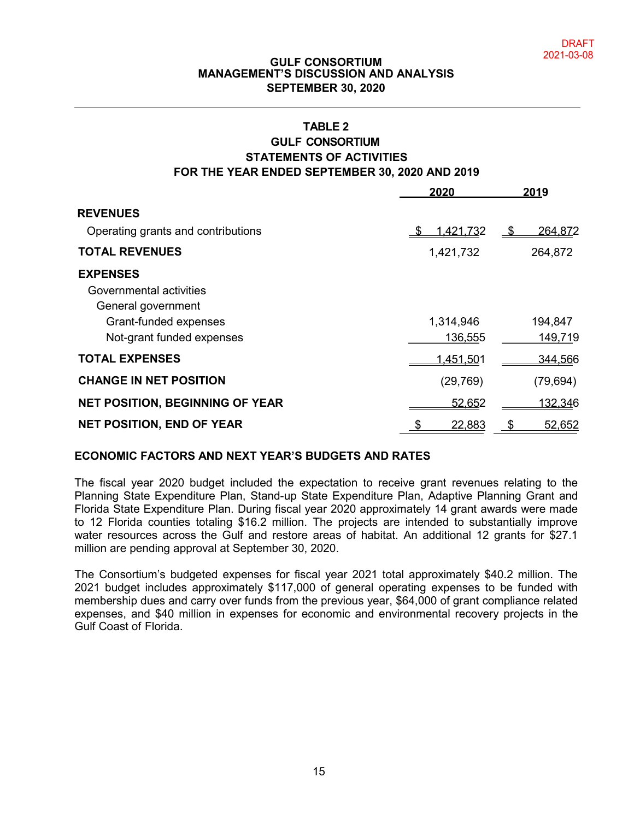# **TABLE 2 GULF CONSORTIUM STATEMENTS OF ACTIVITIES FOR THE YEAR ENDED SEPTEMBER 30, 2020 AND 2019**

|                                        | 2020              | 2019                      |
|----------------------------------------|-------------------|---------------------------|
| <b>REVENUES</b>                        |                   |                           |
| Operating grants and contributions     | 1,421,732         | 264,872<br>$\mathfrak{S}$ |
| <b>TOTAL REVENUES</b>                  | 1,421,732         | 264,872                   |
| <b>EXPENSES</b>                        |                   |                           |
| Governmental activities                |                   |                           |
| General government                     |                   |                           |
| Grant-funded expenses                  | 1,314,946         | 194,847                   |
| Not-grant funded expenses              | 136,555           | <u>149,71</u> 9           |
| <b>TOTAL EXPENSES</b>                  | <u>1,451,50</u> 1 | 344,566                   |
| <b>CHANGE IN NET POSITION</b>          | (29, 769)         | (79, 694)                 |
| <b>NET POSITION, BEGINNING OF YEAR</b> | 52,652            | 132,346                   |
| <b>NET POSITION, END OF YEAR</b>       | 22,883<br>\$      | \$<br>52,652              |

### **ECONOMIC FACTORS AND NEXT YEAR'S BUDGETS AND RATES**

The fiscal year 2020 budget included the expectation to receive grant revenues relating to the Planning State Expenditure Plan, Stand-up State Expenditure Plan, Adaptive Planning Grant and Florida State Expenditure Plan. During fiscal year 2020 approximately 14 grant awards were made to 12 Florida counties totaling \$16.2 million. The projects are intended to substantially improve water resources across the Gulf and restore areas of habitat. An additional 12 grants for \$27.1 million are pending approval at September 30, 2020.

The Consortium's budgeted expenses for fiscal year 2021 total approximately \$40.2 million. The 2021 budget includes approximately \$117,000 of general operating expenses to be funded with membership dues and carry over funds from the previous year, \$64,000 of grant compliance related expenses, and \$40 million in expenses for economic and environmental recovery projects in the Gulf Coast of Florida.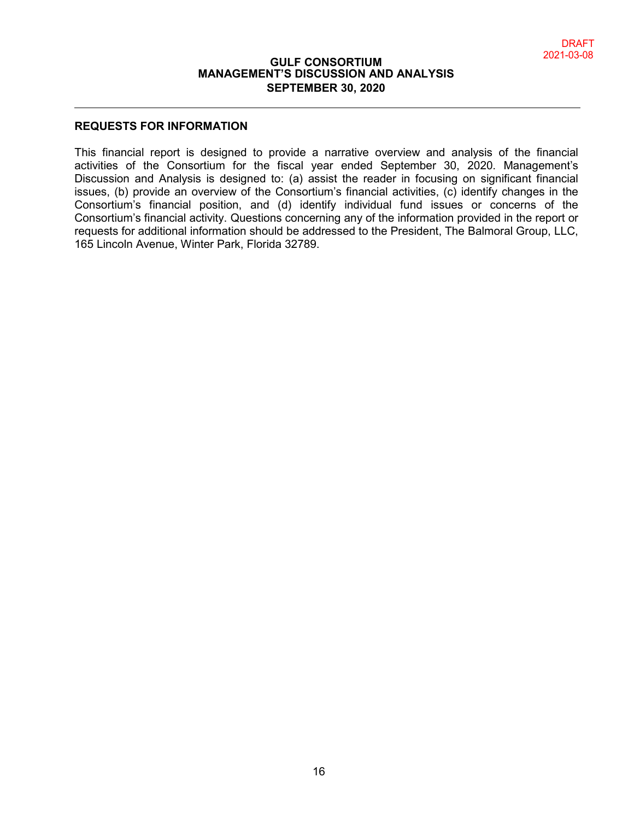#### **REQUESTS FOR INFORMATION**

This financial report is designed to provide a narrative overview and analysis of the financial activities of the Consortium for the fiscal year ended September 30, 2020. Management's Discussion and Analysis is designed to: (a) assist the reader in focusing on significant financial issues, (b) provide an overview of the Consortium's financial activities, (c) identify changes in the Consortium's financial position, and (d) identify individual fund issues or concerns of the Consortium's financial activity. Questions concerning any of the information provided in the report or requests for additional information should be addressed to the President, The Balmoral Group, LLC, 165 Lincoln Avenue, Winter Park, Florida 32789.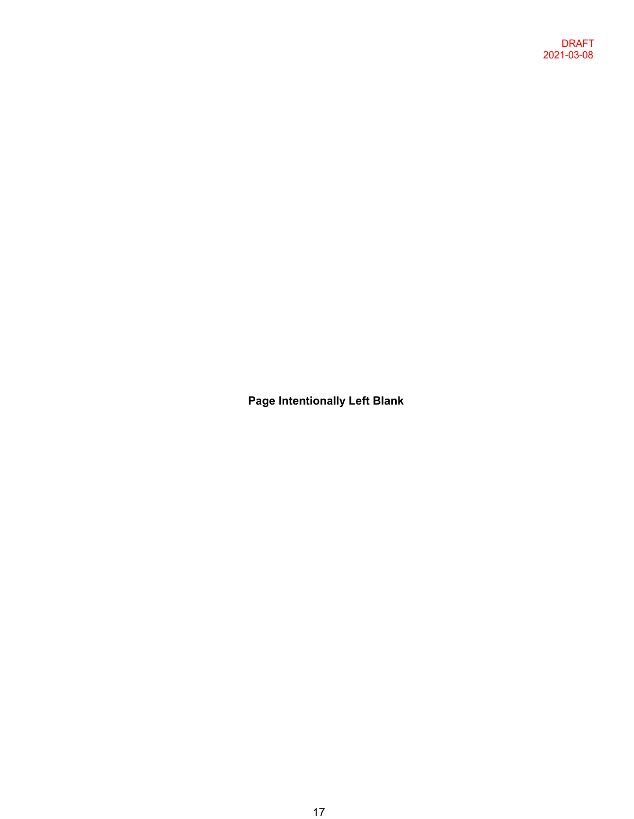**Page Intentionally Left Blank**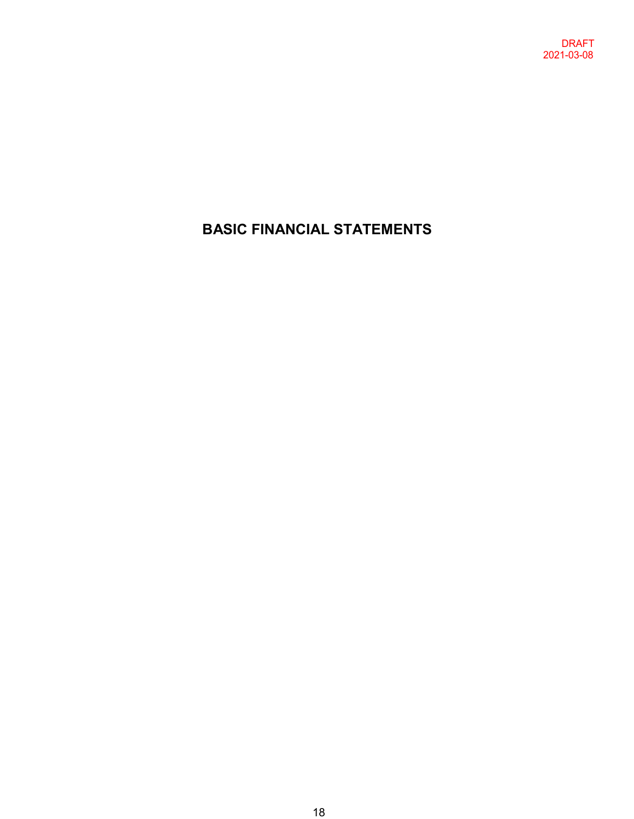DRAFT 2021-03-08

# <span id="page-17-0"></span>**BASIC FINANCIAL STATEMENTS**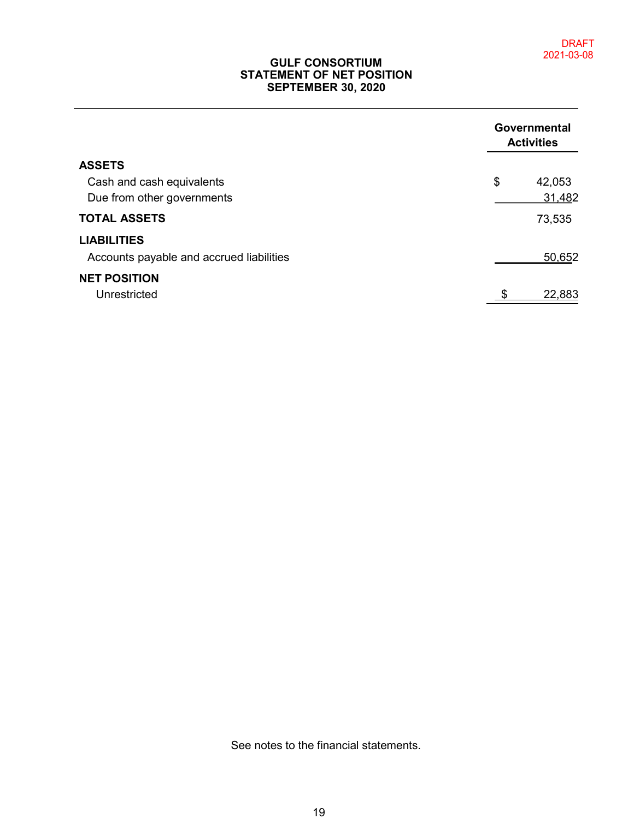# 2021-03-08 **GULF CONSORTIUM STATEMENT OF NET POSITION SEPTEMBER 30, 2020**

|                                          | Governmental<br><b>Activities</b> |  |  |
|------------------------------------------|-----------------------------------|--|--|
| <b>ASSETS</b>                            |                                   |  |  |
| Cash and cash equivalents                | \$<br>42,053                      |  |  |
| Due from other governments               | 31,482                            |  |  |
| <b>TOTAL ASSETS</b>                      | 73,535                            |  |  |
| <b>LIABILITIES</b>                       |                                   |  |  |
| Accounts payable and accrued liabilities | 50,652                            |  |  |
| <b>NET POSITION</b>                      |                                   |  |  |
| Unrestricted                             | 22,883                            |  |  |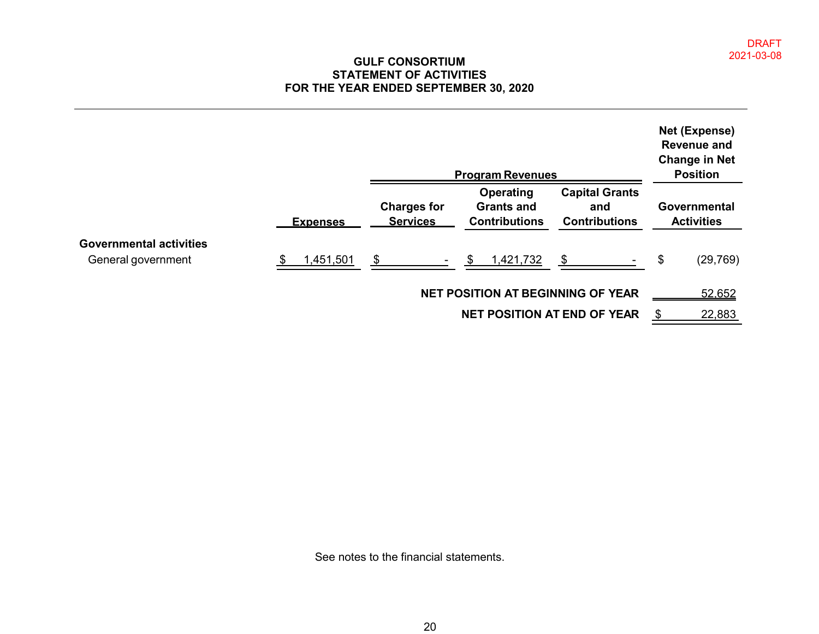#### **GULF CONSORTIUM STATEMENT OF ACTIVITIES FOR THE YEAR ENDED SEPTEMBER 30, 2020**

|                                                      |                 | <b>Program Revenues</b>               |                                                        | Net (Expense)<br><b>Revenue and</b><br><b>Change in Net</b><br><b>Position</b> |    |                                   |
|------------------------------------------------------|-----------------|---------------------------------------|--------------------------------------------------------|--------------------------------------------------------------------------------|----|-----------------------------------|
|                                                      | <b>Expenses</b> | <b>Charges for</b><br><b>Services</b> | Operating<br><b>Grants and</b><br><b>Contributions</b> | <b>Capital Grants</b><br>and<br><b>Contributions</b>                           |    | Governmental<br><b>Activities</b> |
| <b>Governmental activities</b><br>General government | 1,451,501       | \$                                    | 1,421,732                                              |                                                                                | \$ | (29, 769)                         |
|                                                      |                 |                                       | <b>NET POSITION AT BEGINNING OF YEAR</b>               |                                                                                |    | 52,652                            |
|                                                      |                 |                                       | <b>NET POSITION AT END OF YEAR</b>                     |                                                                                | £. | 22,883                            |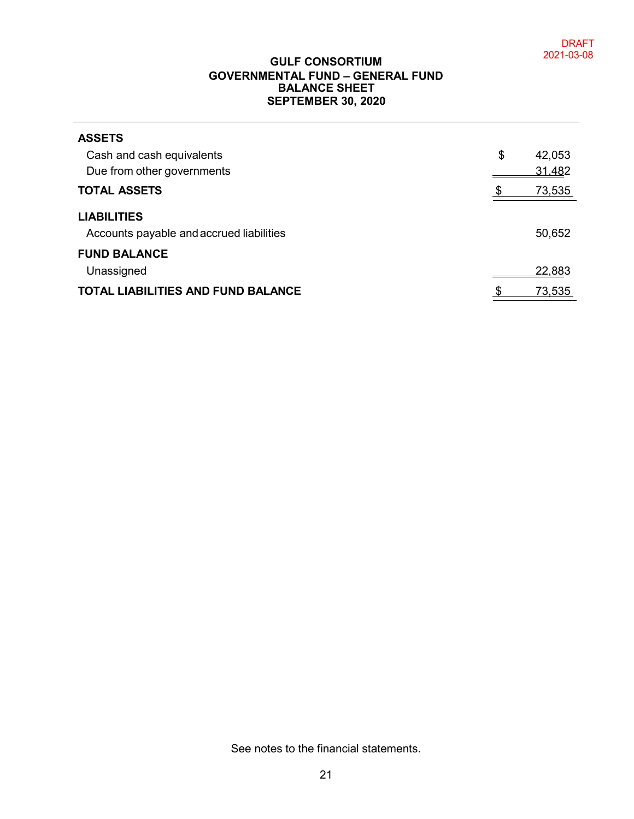#### **GULF CONSORTIUM GOVERNMENTAL FUND – GENERAL FUND BALANCE SHEET SEPTEMBER 30, 2020**

| <b>ASSETS</b>                             |              |
|-------------------------------------------|--------------|
| Cash and cash equivalents                 | \$<br>42,053 |
| Due from other governments                | 31,482       |
| <b>TOTAL ASSETS</b>                       | 73,535       |
| <b>LIABILITIES</b>                        |              |
| Accounts payable and accrued liabilities  | 50,652       |
| <b>FUND BALANCE</b>                       |              |
| Unassigned                                | 22,883       |
| <b>TOTAL LIABILITIES AND FUND BALANCE</b> | 73,535       |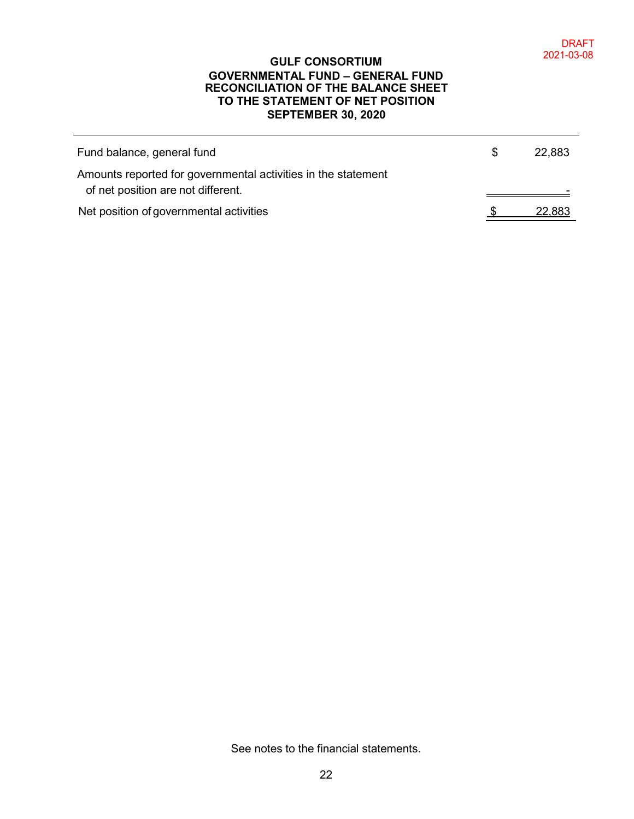# 2021-03-08 **GULF CONSORTIUM GOVERNMENTAL FUND – GENERAL FUND RECONCILIATION OF THE BALANCE SHEET TO THE STATEMENT OF NET POSITION SEPTEMBER 30, 2020**

| Fund balance, general fund                                                                          | -S | 22.883 |
|-----------------------------------------------------------------------------------------------------|----|--------|
| Amounts reported for governmental activities in the statement<br>of net position are not different. |    |        |
| Net position of governmental activities                                                             |    | 22,883 |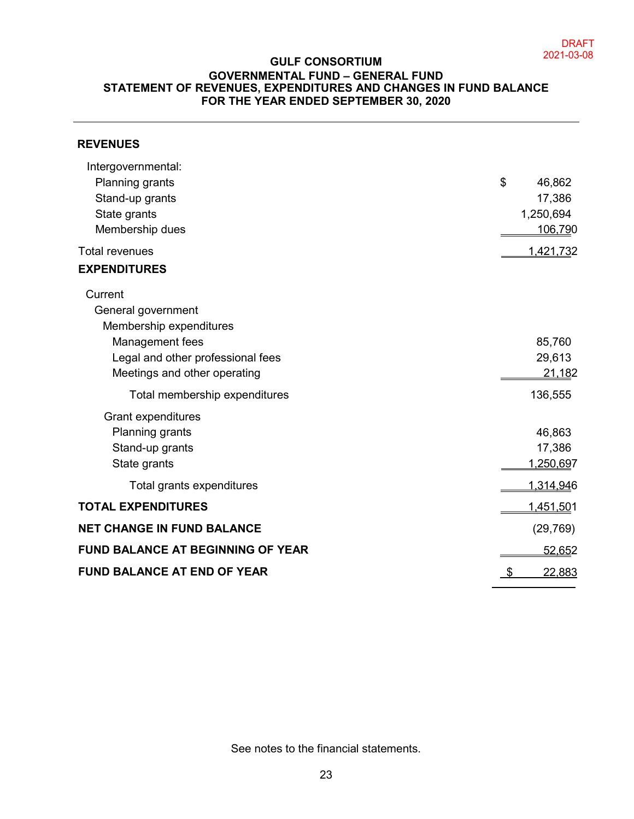# 2021-03-08 **GULF CONSORTIUM GOVERNMENTAL FUND – GENERAL FUND STATEMENT OF REVENUES, EXPENDITURES AND CHANGES IN FUND BALANCE FOR THE YEAR ENDED SEPTEMBER 30, 2020**

# **REVENUES**

| Intergovernmental:                       |              |
|------------------------------------------|--------------|
| Planning grants                          | \$<br>46,862 |
| Stand-up grants                          | 17,386       |
| State grants                             | 1,250,694    |
| Membership dues                          | 106,790      |
| <b>Total revenues</b>                    | 1,421,732    |
| <b>EXPENDITURES</b>                      |              |
| Current                                  |              |
| General government                       |              |
| Membership expenditures                  |              |
| Management fees                          | 85,760       |
| Legal and other professional fees        | 29,613       |
| Meetings and other operating             | 21,182       |
| Total membership expenditures            | 136,555      |
| <b>Grant expenditures</b>                |              |
| Planning grants                          | 46,863       |
| Stand-up grants                          | 17,386       |
| State grants                             | 1,250,697    |
| Total grants expenditures                | 1,314,946    |
| <b>TOTAL EXPENDITURES</b>                | 1,451,501    |
| <b>NET CHANGE IN FUND BALANCE</b>        | (29, 769)    |
| <b>FUND BALANCE AT BEGINNING OF YEAR</b> | 52,652       |
| <b>FUND BALANCE AT END OF YEAR</b>       | \$<br>22,883 |
|                                          |              |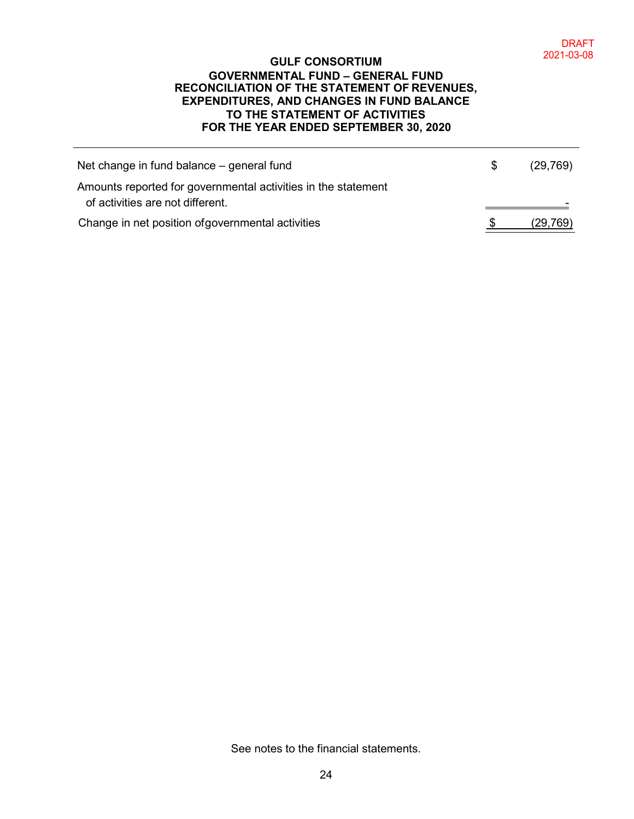# 2021-03-08 **GULF CONSORTIUM GOVERNMENTAL FUND – GENERAL FUND RECONCILIATION OF THE STATEMENT OF REVENUES, EXPENDITURES, AND CHANGES IN FUND BALANCE TO THE STATEMENT OF ACTIVITIES FOR THE YEAR ENDED SEPTEMBER 30, 2020**

| Net change in fund balance – general fund                                                         | S | (29, 769) |
|---------------------------------------------------------------------------------------------------|---|-----------|
| Amounts reported for governmental activities in the statement<br>of activities are not different. |   |           |
| Change in net position of governmental activities                                                 |   | (29, 769) |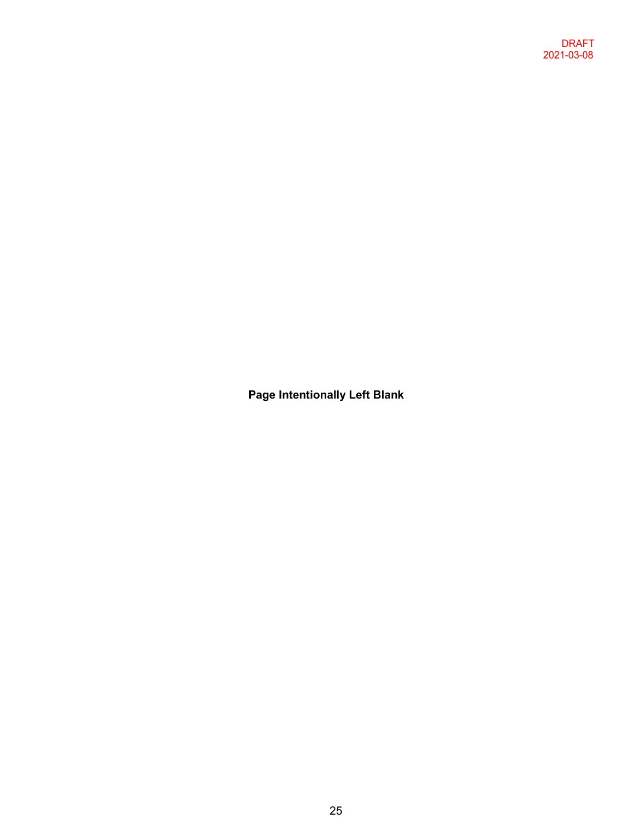**Page Intentionally Left Blank**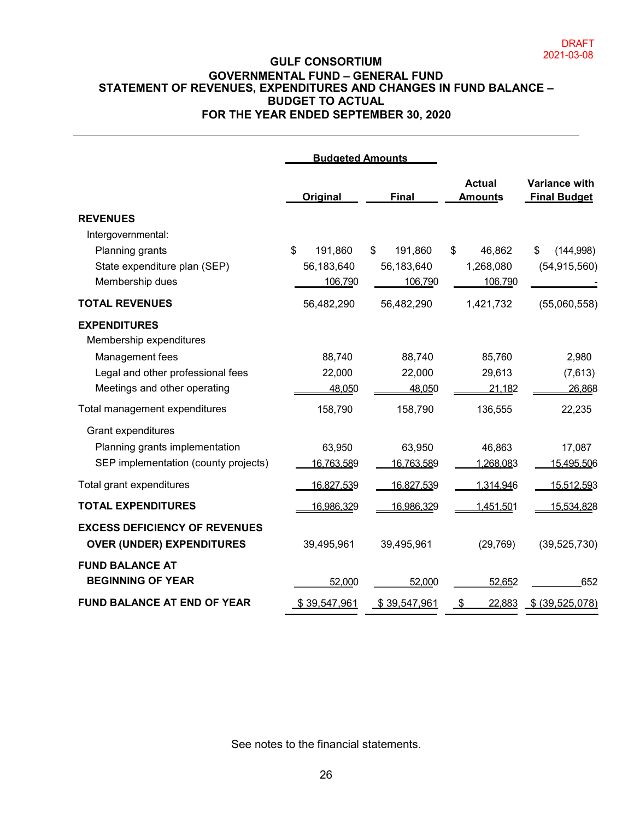DRAFT

# 2021-03-08 **GULF CONSORTIUM GOVERNMENTAL FUND – GENERAL FUND STATEMENT OF REVENUES, EXPENDITURES AND CHANGES IN FUND BALANCE – BUDGET TO ACTUAL FOR THE YEAR ENDED SEPTEMBER 30, 2020**

|                                                                                          | <b>Budgeted Amounts</b>                |                                        |                                      |                                             |
|------------------------------------------------------------------------------------------|----------------------------------------|----------------------------------------|--------------------------------------|---------------------------------------------|
|                                                                                          | <b>Original</b>                        | <b>Final</b>                           | <b>Actual</b><br><b>Amounts</b>      | <b>Variance with</b><br><b>Final Budget</b> |
| <b>REVENUES</b>                                                                          |                                        |                                        |                                      |                                             |
| Intergovernmental:<br>Planning grants<br>State expenditure plan (SEP)<br>Membership dues | \$<br>191,860<br>56,183,640<br>106,790 | \$<br>191,860<br>56,183,640<br>106,790 | 46,862<br>\$<br>1,268,080<br>106,790 | (144, 998)<br>\$<br>(54, 915, 560)          |
| <b>TOTAL REVENUES</b>                                                                    | 56,482,290                             | 56,482,290                             | 1,421,732                            | (55,060,558)                                |
| <b>EXPENDITURES</b><br>Membership expenditures                                           |                                        |                                        |                                      |                                             |
| Management fees                                                                          | 88,740                                 | 88,740                                 | 85,760                               | 2,980                                       |
| Legal and other professional fees                                                        | 22,000                                 | 22,000                                 | 29,613                               | (7,613)                                     |
| Meetings and other operating                                                             | 48,050                                 | 48,050                                 | 21,182                               | 26,868                                      |
| Total management expenditures                                                            | 158,790                                | 158,790                                | 136,555                              | 22,235                                      |
| Grant expenditures                                                                       |                                        |                                        |                                      |                                             |
| Planning grants implementation                                                           | 63,950                                 | 63,950                                 | 46,863                               | 17,087                                      |
| SEP implementation (county projects)                                                     | 16,763,589                             | 16,763,589                             | 1,268,083                            | 15,495,506                                  |
| Total grant expenditures                                                                 | 16,827,539                             | 16,827,539                             | 1,314,946                            | 15,512,593                                  |
| <b>TOTAL EXPENDITURES</b>                                                                | 16,986,329                             | 16,986,329                             | 1,451,501                            | 15,534,828                                  |
| <b>EXCESS DEFICIENCY OF REVENUES</b><br><b>OVER (UNDER) EXPENDITURES</b>                 | 39,495,961                             | 39,495,961                             | (29, 769)                            | (39, 525, 730)                              |
| <b>FUND BALANCE AT</b><br><b>BEGINNING OF YEAR</b>                                       | 52,000                                 | 52,000                                 | 52,652                               | 652                                         |
| <b>FUND BALANCE AT END OF YEAR</b>                                                       | \$39,547,961                           | \$39,547,961                           | $\frac{1}{2}$<br>22,883              | \$ (39,525,078)                             |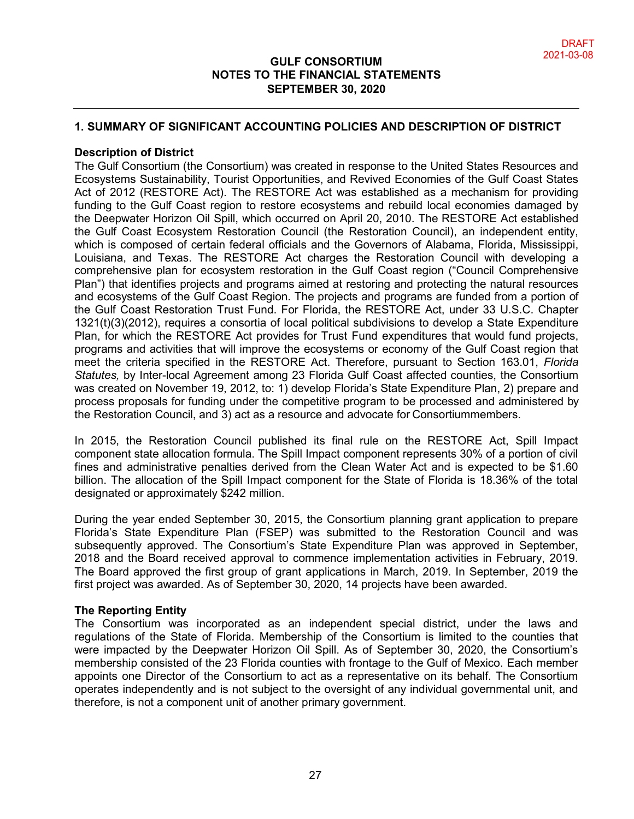### **1. SUMMARY OF SIGNIFICANT ACCOUNTING POLICIES AND DESCRIPTION OF DISTRICT**

#### **Description of District**

The Gulf Consortium (the Consortium) was created in response to the United States Resources and Ecosystems Sustainability, Tourist Opportunities, and Revived Economies of the Gulf Coast States Act of 2012 (RESTORE Act). The RESTORE Act was established as a mechanism for providing funding to the Gulf Coast region to restore ecosystems and rebuild local economies damaged by the Deepwater Horizon Oil Spill, which occurred on April 20, 2010. The RESTORE Act established the Gulf Coast Ecosystem Restoration Council (the Restoration Council), an independent entity, which is composed of certain federal officials and the Governors of Alabama, Florida, Mississippi, Louisiana, and Texas. The RESTORE Act charges the Restoration Council with developing a comprehensive plan for ecosystem restoration in the Gulf Coast region ("Council Comprehensive Plan") that identifies projects and programs aimed at restoring and protecting the natural resources and ecosystems of the Gulf Coast Region. The projects and programs are funded from a portion of the Gulf Coast Restoration Trust Fund. For Florida, the RESTORE Act, under 33 U.S.C. Chapter 1321(t)(3)(2012), requires a consortia of local political subdivisions to develop a State Expenditure Plan, for which the RESTORE Act provides for Trust Fund expenditures that would fund projects, programs and activities that will improve the ecosystems or economy of the Gulf Coast region that meet the criteria specified in the RESTORE Act. Therefore, pursuant to Section 163.01, *Florida Statutes,* by Inter-local Agreement among 23 Florida Gulf Coast affected counties, the Consortium was created on November 19, 2012, to: 1) develop Florida's State Expenditure Plan, 2) prepare and process proposals for funding under the competitive program to be processed and administered by the Restoration Council, and 3) act as a resource and advocate for Consortiummembers.

In 2015, the Restoration Council published its final rule on the RESTORE Act, Spill Impact component state allocation formula. The Spill Impact component represents 30% of a portion of civil fines and administrative penalties derived from the Clean Water Act and is expected to be \$1.60 billion. The allocation of the Spill Impact component for the State of Florida is 18.36% of the total designated or approximately \$242 million.

During the year ended September 30, 2015, the Consortium planning grant application to prepare Florida's State Expenditure Plan (FSEP) was submitted to the Restoration Council and was subsequently approved. The Consortium's State Expenditure Plan was approved in September, 2018 and the Board received approval to commence implementation activities in February, 2019. The Board approved the first group of grant applications in March, 2019. In September, 2019 the first project was awarded. As of September 30, 2020, 14 projects have been awarded.

#### **The Reporting Entity**

The Consortium was incorporated as an independent special district, under the laws and regulations of the State of Florida. Membership of the Consortium is limited to the counties that were impacted by the Deepwater Horizon Oil Spill. As of September 30, 2020, the Consortium's membership consisted of the 23 Florida counties with frontage to the Gulf of Mexico. Each member appoints one Director of the Consortium to act as a representative on its behalf. The Consortium operates independently and is not subject to the oversight of any individual governmental unit, and therefore, is not a component unit of another primary government.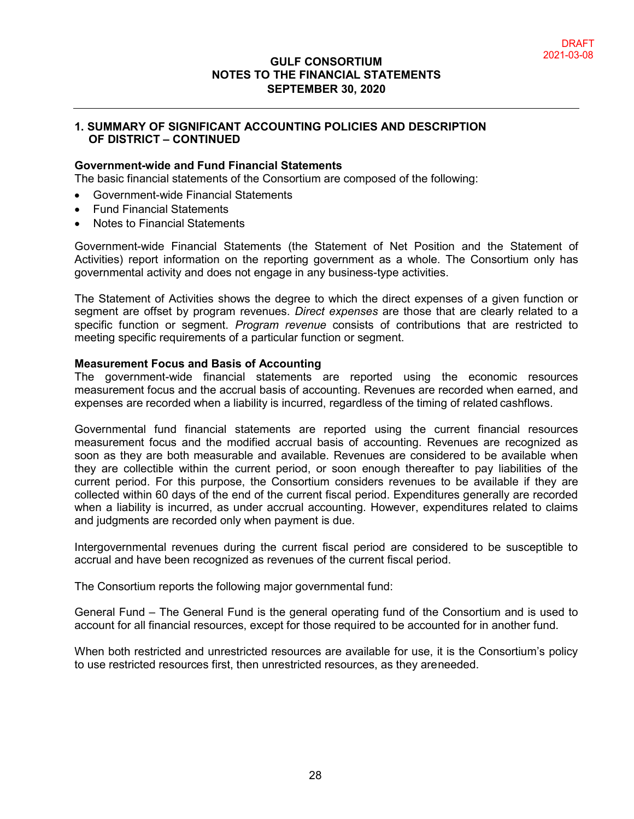#### **1. SUMMARY OF SIGNIFICANT ACCOUNTING POLICIES AND DESCRIPTION OF DISTRICT – CONTINUED**

#### **Government-wide and Fund Financial Statements**

The basic financial statements of the Consortium are composed of the following:

- Government-wide Financial Statements
- Fund Financial Statements
- Notes to Financial Statements

Government-wide Financial Statements (the Statement of Net Position and the Statement of Activities) report information on the reporting government as a whole. The Consortium only has governmental activity and does not engage in any business-type activities.

The Statement of Activities shows the degree to which the direct expenses of a given function or segment are offset by program revenues. *Direct expenses* are those that are clearly related to a specific function or segment. *Program revenue* consists of contributions that are restricted to meeting specific requirements of a particular function or segment.

#### **Measurement Focus and Basis of Accounting**

The government-wide financial statements are reported using the economic resources measurement focus and the accrual basis of accounting. Revenues are recorded when earned, and expenses are recorded when a liability is incurred, regardless of the timing of related cashflows.

Governmental fund financial statements are reported using the current financial resources measurement focus and the modified accrual basis of accounting. Revenues are recognized as soon as they are both measurable and available. Revenues are considered to be available when they are collectible within the current period, or soon enough thereafter to pay liabilities of the current period. For this purpose, the Consortium considers revenues to be available if they are collected within 60 days of the end of the current fiscal period. Expenditures generally are recorded when a liability is incurred, as under accrual accounting. However, expenditures related to claims and judgments are recorded only when payment is due.

Intergovernmental revenues during the current fiscal period are considered to be susceptible to accrual and have been recognized as revenues of the current fiscal period.

The Consortium reports the following major governmental fund:

General Fund – The General Fund is the general operating fund of the Consortium and is used to account for all financial resources, except for those required to be accounted for in another fund.

When both restricted and unrestricted resources are available for use, it is the Consortium's policy to use restricted resources first, then unrestricted resources, as they areneeded.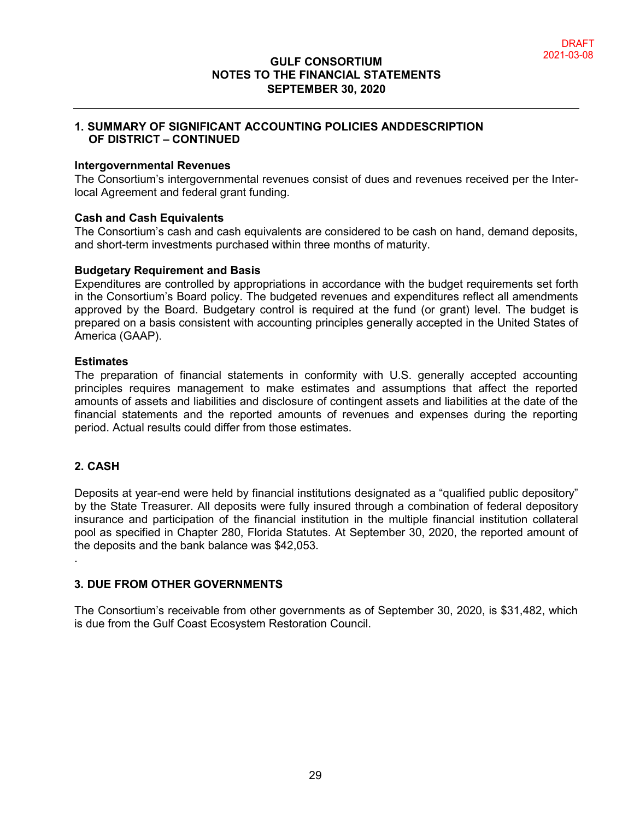# **1. SUMMARY OF SIGNIFICANT ACCOUNTING POLICIES ANDDESCRIPTION OF DISTRICT – CONTINUED**

#### **Intergovernmental Revenues**

The Consortium's intergovernmental revenues consist of dues and revenues received per the Interlocal Agreement and federal grant funding.

#### **Cash and Cash Equivalents**

The Consortium's cash and cash equivalents are considered to be cash on hand, demand deposits, and short-term investments purchased within three months of maturity.

#### **Budgetary Requirement and Basis**

Expenditures are controlled by appropriations in accordance with the budget requirements set forth in the Consortium's Board policy. The budgeted revenues and expenditures reflect all amendments approved by the Board. Budgetary control is required at the fund (or grant) level. The budget is prepared on a basis consistent with accounting principles generally accepted in the United States of America (GAAP).

#### **Estimates**

The preparation of financial statements in conformity with U.S. generally accepted accounting principles requires management to make estimates and assumptions that affect the reported amounts of assets and liabilities and disclosure of contingent assets and liabilities at the date of the financial statements and the reported amounts of revenues and expenses during the reporting period. Actual results could differ from those estimates.

### **2. CASH**

.

Deposits at year-end were held by financial institutions designated as a "qualified public depository" by the State Treasurer. All deposits were fully insured through a combination of federal depository insurance and participation of the financial institution in the multiple financial institution collateral pool as specified in Chapter 280, Florida Statutes. At September 30, 2020, the reported amount of the deposits and the bank balance was \$42,053.

### **3. DUE FROM OTHER GOVERNMENTS**

The Consortium's receivable from other governments as of September 30, 2020, is \$31,482, which is due from the Gulf Coast Ecosystem Restoration Council.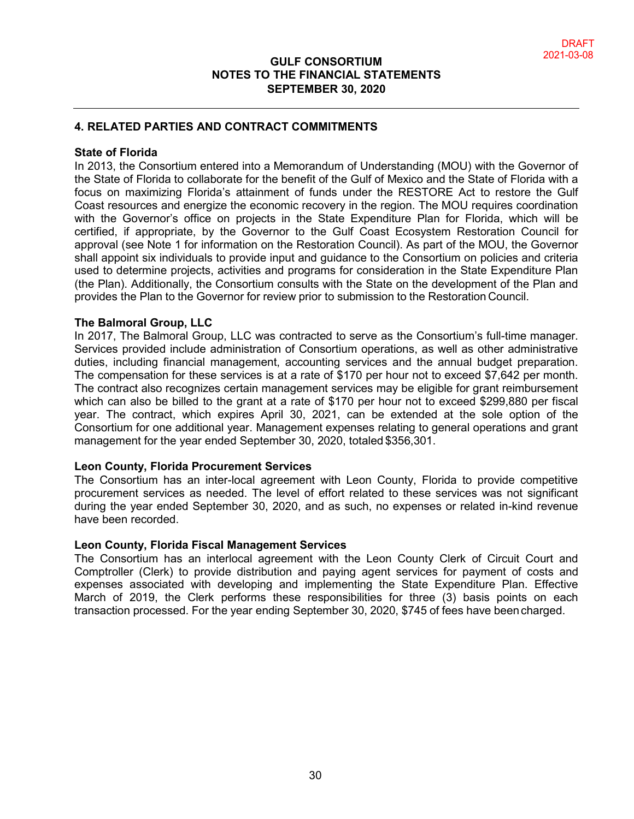### **4. RELATED PARTIES AND CONTRACT COMMITMENTS**

#### **State of Florida**

In 2013, the Consortium entered into a Memorandum of Understanding (MOU) with the Governor of the State of Florida to collaborate for the benefit of the Gulf of Mexico and the State of Florida with a focus on maximizing Florida's attainment of funds under the RESTORE Act to restore the Gulf Coast resources and energize the economic recovery in the region. The MOU requires coordination with the Governor's office on projects in the State Expenditure Plan for Florida, which will be certified, if appropriate, by the Governor to the Gulf Coast Ecosystem Restoration Council for approval (see Note 1 for information on the Restoration Council). As part of the MOU, the Governor shall appoint six individuals to provide input and guidance to the Consortium on policies and criteria used to determine projects, activities and programs for consideration in the State Expenditure Plan (the Plan). Additionally, the Consortium consults with the State on the development of the Plan and provides the Plan to the Governor for review prior to submission to the Restoration Council.

#### **The Balmoral Group, LLC**

In 2017, The Balmoral Group, LLC was contracted to serve as the Consortium's full-time manager. Services provided include administration of Consortium operations, as well as other administrative duties, including financial management, accounting services and the annual budget preparation. The compensation for these services is at a rate of \$170 per hour not to exceed \$7,642 per month. The contract also recognizes certain management services may be eligible for grant reimbursement which can also be billed to the grant at a rate of \$170 per hour not to exceed \$299,880 per fiscal year. The contract, which expires April 30, 2021, can be extended at the sole option of the Consortium for one additional year. Management expenses relating to general operations and grant management for the year ended September 30, 2020, totaled \$356,301.

#### **Leon County, Florida Procurement Services**

The Consortium has an inter-local agreement with Leon County, Florida to provide competitive procurement services as needed. The level of effort related to these services was not significant during the year ended September 30, 2020, and as such, no expenses or related in-kind revenue have been recorded.

#### **Leon County, Florida Fiscal Management Services**

The Consortium has an interlocal agreement with the Leon County Clerk of Circuit Court and Comptroller (Clerk) to provide distribution and paying agent services for payment of costs and expenses associated with developing and implementing the State Expenditure Plan. Effective March of 2019, the Clerk performs these responsibilities for three (3) basis points on each transaction processed. For the year ending September 30, 2020, \$745 of fees have been charged.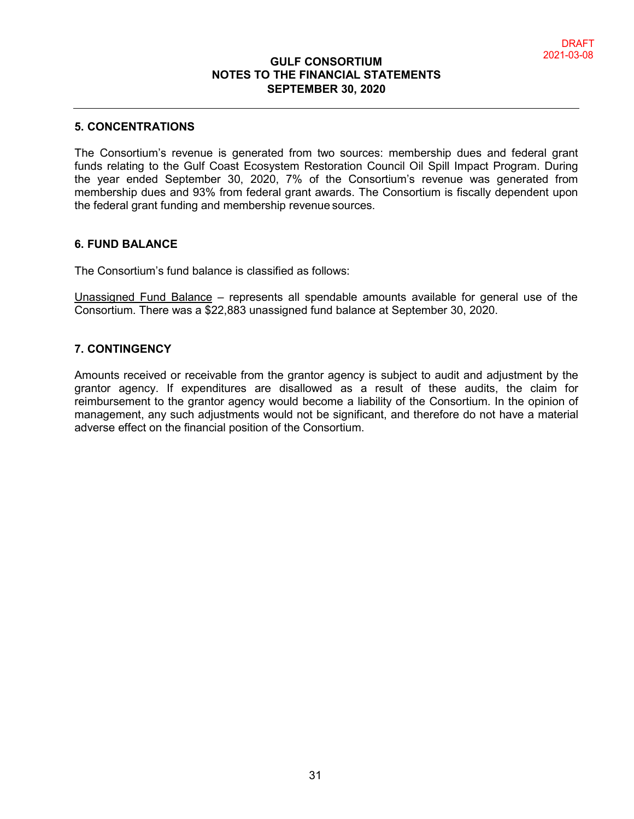#### **5. CONCENTRATIONS**

The Consortium's revenue is generated from two sources: membership dues and federal grant funds relating to the Gulf Coast Ecosystem Restoration Council Oil Spill Impact Program. During the year ended September 30, 2020, 7% of the Consortium's revenue was generated from membership dues and 93% from federal grant awards. The Consortium is fiscally dependent upon the federal grant funding and membership revenue sources.

#### **6. FUND BALANCE**

The Consortium's fund balance is classified as follows:

Unassigned Fund Balance – represents all spendable amounts available for general use of the Consortium. There was a \$22,883 unassigned fund balance at September 30, 2020.

### **7. CONTINGENCY**

Amounts received or receivable from the grantor agency is subject to audit and adjustment by the grantor agency. If expenditures are disallowed as a result of these audits, the claim for reimbursement to the grantor agency would become a liability of the Consortium. In the opinion of management, any such adjustments would not be significant, and therefore do not have a material adverse effect on the financial position of the Consortium.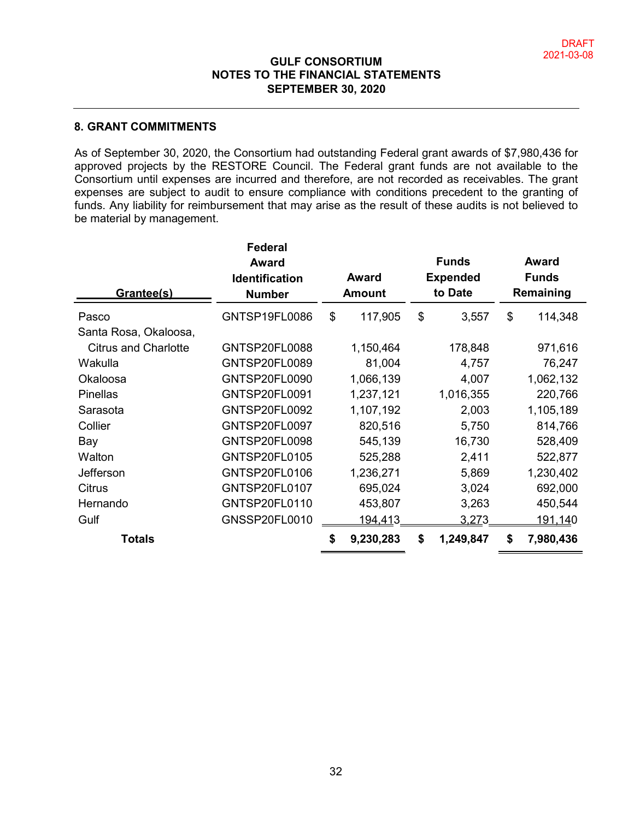#### **8. GRANT COMMITMENTS**

As of September 30, 2020, the Consortium had outstanding Federal grant awards of \$7,980,436 for approved projects by the RESTORE Council. The Federal grant funds are not available to the Consortium until expenses are incurred and therefore, are not recorded as receivables. The grant expenses are subject to audit to ensure compliance with conditions precedent to the granting of funds. Any liability for reimbursement that may arise as the result of these audits is not believed to be material by management.

| Grantee(s)                  | <b>Federal</b><br><b>Award</b><br>Identification<br><b>Number</b> | <b>Funds</b><br><b>Expended</b><br>Award<br>to Date<br><b>Amount</b> |                 |    |           |    |                 |  |  |  |  |  |  |  |  | Award<br><b>Funds</b><br>Remaining |
|-----------------------------|-------------------------------------------------------------------|----------------------------------------------------------------------|-----------------|----|-----------|----|-----------------|--|--|--|--|--|--|--|--|------------------------------------|
| Pasco                       | GNTSP19FL0086                                                     | \$                                                                   | 117,905         | \$ | 3,557     | \$ | 114,348         |  |  |  |  |  |  |  |  |                                    |
| Santa Rosa, Okaloosa,       |                                                                   |                                                                      |                 |    |           |    |                 |  |  |  |  |  |  |  |  |                                    |
| <b>Citrus and Charlotte</b> | GNTSP20FL0088                                                     |                                                                      | 1,150,464       |    | 178,848   |    | 971,616         |  |  |  |  |  |  |  |  |                                    |
| Wakulla                     | GNTSP20FL0089                                                     |                                                                      | 81,004          |    | 4,757     |    | 76,247          |  |  |  |  |  |  |  |  |                                    |
| Okaloosa                    | GNTSP20FL0090                                                     |                                                                      | 1,066,139       |    | 4,007     |    | 1,062,132       |  |  |  |  |  |  |  |  |                                    |
| <b>Pinellas</b>             | GNTSP20FL0091                                                     |                                                                      | 1,237,121       |    | 1,016,355 |    | 220,766         |  |  |  |  |  |  |  |  |                                    |
| Sarasota                    | GNTSP20FL0092                                                     |                                                                      | 1,107,192       |    | 2,003     |    | 1,105,189       |  |  |  |  |  |  |  |  |                                    |
| Collier                     | GNTSP20FL0097                                                     |                                                                      | 820,516         |    | 5,750     |    | 814,766         |  |  |  |  |  |  |  |  |                                    |
| Bay                         | GNTSP20FL0098                                                     |                                                                      | 545,139         |    | 16,730    |    | 528,409         |  |  |  |  |  |  |  |  |                                    |
| Walton                      | GNTSP20FL0105                                                     |                                                                      | 525,288         |    | 2,411     |    | 522,877         |  |  |  |  |  |  |  |  |                                    |
| Jefferson                   | GNTSP20FL0106                                                     |                                                                      | 1,236,271       |    | 5,869     |    | 1,230,402       |  |  |  |  |  |  |  |  |                                    |
| <b>Citrus</b>               | GNTSP20FL0107                                                     |                                                                      | 695,024         |    | 3,024     |    | 692,000         |  |  |  |  |  |  |  |  |                                    |
| Hernando                    | GNTSP20FL0110                                                     |                                                                      | 453,807         |    | 3,263     |    | 450,544         |  |  |  |  |  |  |  |  |                                    |
| Gulf                        | GNSSP20FL0010                                                     |                                                                      | <u>194,413 </u> |    | 3,273     |    | <u>191,14</u> 0 |  |  |  |  |  |  |  |  |                                    |
| <b>Totals</b>               |                                                                   | \$                                                                   | 9,230,283       | \$ | 1,249,847 | \$ | 7,980,436       |  |  |  |  |  |  |  |  |                                    |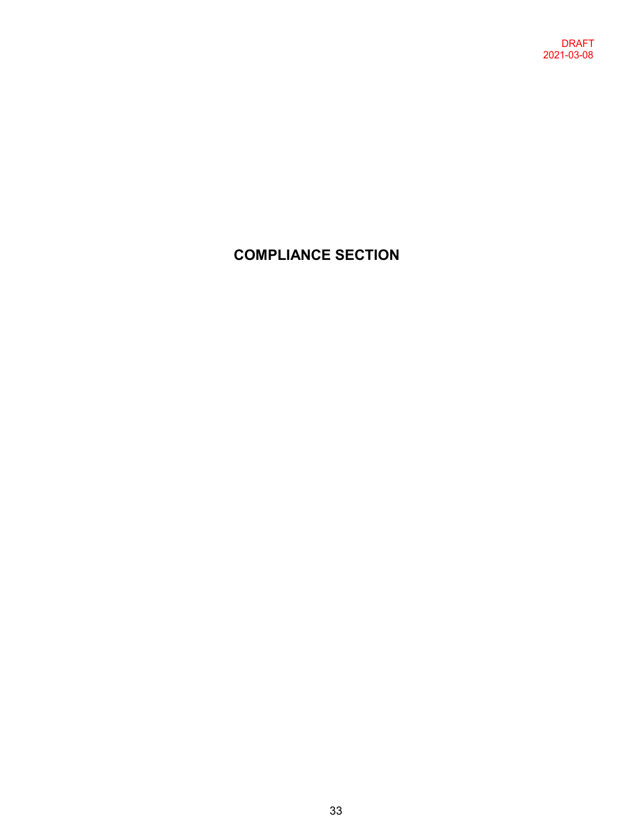DRAFT 2021-03-08

# <span id="page-32-0"></span>**COMPLIANCE SECTION**

33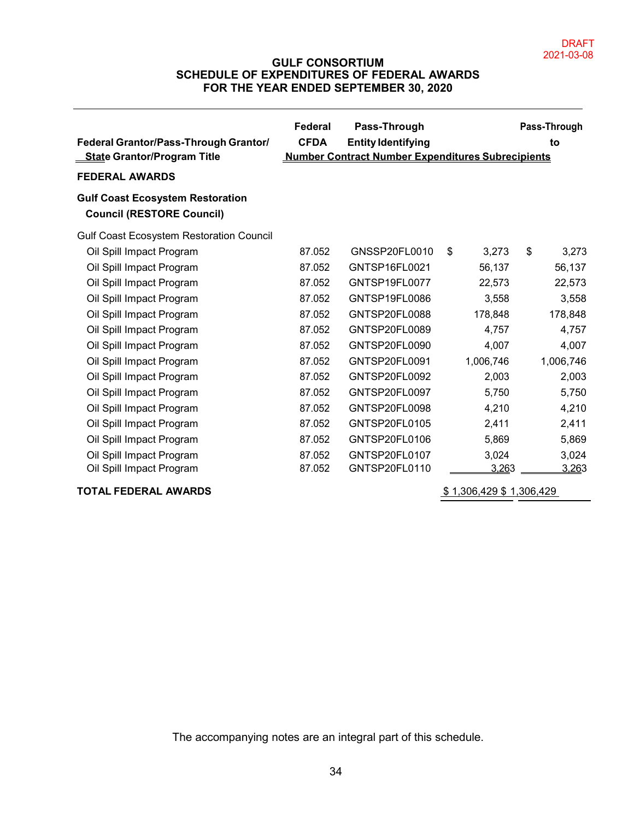DRAFT

# 2021-03-08 **GULF CONSORTIUM SCHEDULE OF EXPENDITURES OF FEDERAL AWARDS FOR THE YEAR ENDED SEPTEMBER 30, 2020**

| Federal Grantor/Pass-Through Grantor/<br><b>State Grantor/Program Title</b> | Federal<br><b>CFDA</b> | Pass-Through<br><b>Entity Identifying</b><br><b>Number Contract Number Expenditures Subrecipients</b> |             | Pass-Through<br>to |
|-----------------------------------------------------------------------------|------------------------|-------------------------------------------------------------------------------------------------------|-------------|--------------------|
| <b>FEDERAL AWARDS</b>                                                       |                        |                                                                                                       |             |                    |
| <b>Gulf Coast Ecosystem Restoration</b><br><b>Council (RESTORE Council)</b> |                        |                                                                                                       |             |                    |
| <b>Gulf Coast Ecosystem Restoration Council</b>                             |                        |                                                                                                       |             |                    |
| Oil Spill Impact Program                                                    | 87.052                 | GNSSP20FL0010                                                                                         | \$<br>3,273 | \$<br>3,273        |
| Oil Spill Impact Program                                                    | 87.052                 | GNTSP16FL0021                                                                                         | 56,137      | 56,137             |
| Oil Spill Impact Program                                                    | 87.052                 | GNTSP19FL0077                                                                                         | 22.573      | 22,573             |
| Oil Spill Impact Program                                                    | 87.052                 | GNTSP19FL0086                                                                                         | 3,558       | 3,558              |
| Oil Spill Impact Program                                                    | 87.052                 | GNTSP20FL0088                                                                                         | 178,848     | 178,848            |
| Oil Spill Impact Program                                                    | 87.052                 | GNTSP20FL0089                                                                                         | 4,757       | 4,757              |
| Oil Spill Impact Program                                                    | 87.052                 | GNTSP20FL0090                                                                                         | 4,007       | 4,007              |
| Oil Spill Impact Program                                                    | 87.052                 | GNTSP20FL0091                                                                                         | 1,006,746   | 1,006,746          |
| Oil Spill Impact Program                                                    | 87.052                 | GNTSP20FL0092                                                                                         | 2,003       | 2,003              |
| Oil Spill Impact Program                                                    | 87.052                 | GNTSP20FL0097                                                                                         | 5,750       | 5,750              |
| Oil Spill Impact Program                                                    | 87.052                 | GNTSP20FL0098                                                                                         | 4,210       | 4,210              |
| Oil Spill Impact Program                                                    | 87.052                 | GNTSP20FL0105                                                                                         | 2,411       | 2,411              |
| Oil Spill Impact Program                                                    | 87.052                 | GNTSP20FL0106                                                                                         | 5,869       | 5,869              |
| Oil Spill Impact Program                                                    | 87.052                 | GNTSP20FL0107                                                                                         | 3,024       | 3,024              |
| Oil Spill Impact Program                                                    | 87.052                 | GNTSP20FL0110                                                                                         | 3,263       | 3,263              |

**TOTAL FEDERAL AWARDS 5 1,306,429 \$ 1,306,429** 

The accompanying notes are an integral part of this schedule.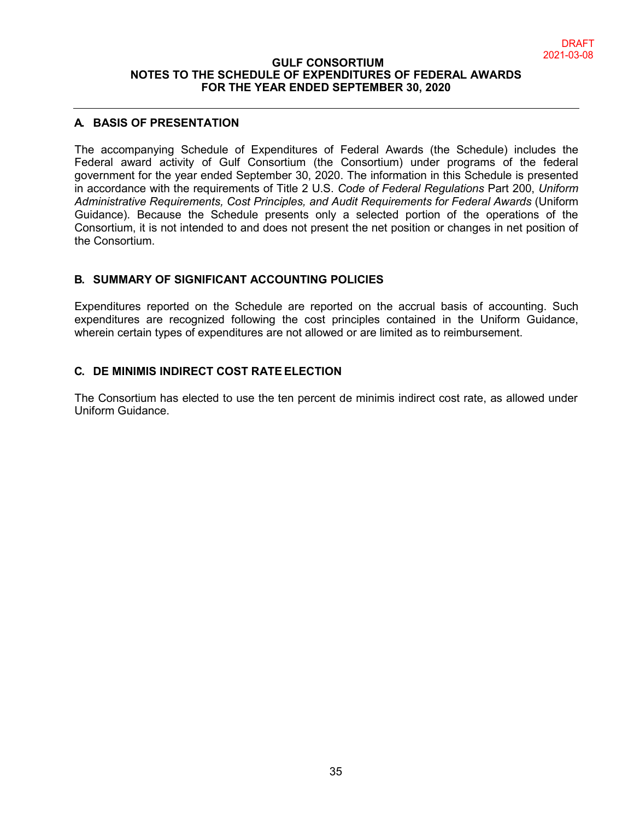# 2021-03-08 **GULF CONSORTIUM NOTES TO THE SCHEDULE OF EXPENDITURES OF FEDERAL AWARDS FOR THE YEAR ENDED SEPTEMBER 30, 2020**

### **A. BASIS OF PRESENTATION**

The accompanying Schedule of Expenditures of Federal Awards (the Schedule) includes the Federal award activity of Gulf Consortium (the Consortium) under programs of the federal government for the year ended September 30, 2020. The information in this Schedule is presented in accordance with the requirements of Title 2 U.S. *Code of Federal Regulations* Part 200, *Uniform Administrative Requirements, Cost Principles, and Audit Requirements for Federal Awards* (Uniform Guidance). Because the Schedule presents only a selected portion of the operations of the Consortium, it is not intended to and does not present the net position or changes in net position of the Consortium.

# **B. SUMMARY OF SIGNIFICANT ACCOUNTING POLICIES**

Expenditures reported on the Schedule are reported on the accrual basis of accounting. Such expenditures are recognized following the cost principles contained in the Uniform Guidance, wherein certain types of expenditures are not allowed or are limited as to reimbursement.

# **C. DE MINIMIS INDIRECT COST RATE ELECTION**

The Consortium has elected to use the ten percent de minimis indirect cost rate, as allowed under Uniform Guidance.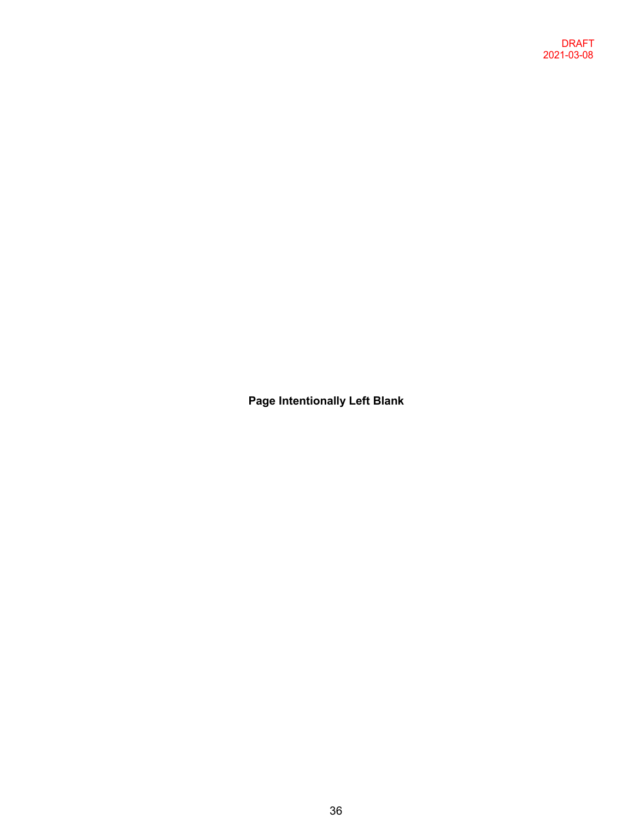**Page Intentionally Left Blank**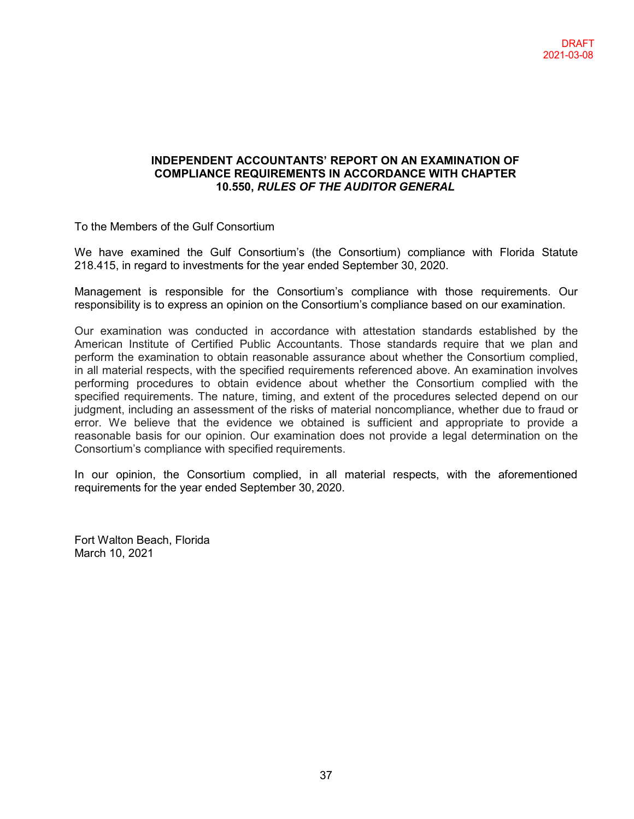#### **INDEPENDENT ACCOUNTANTS' REPORT ON AN EXAMINATION OF COMPLIANCE REQUIREMENTS IN ACCORDANCE WITH CHAPTER 10.550,** *RULES OF THE AUDITOR GENERAL*

To the Members of the Gulf Consortium

We have examined the Gulf Consortium's (the Consortium) compliance with Florida Statute 218.415, in regard to investments for the year ended September 30, 2020.

Management is responsible for the Consortium's compliance with those requirements. Our responsibility is to express an opinion on the Consortium's compliance based on our examination.

Our examination was conducted in accordance with attestation standards established by the American Institute of Certified Public Accountants. Those standards require that we plan and perform the examination to obtain reasonable assurance about whether the Consortium complied, in all material respects, with the specified requirements referenced above. An examination involves performing procedures to obtain evidence about whether the Consortium complied with the specified requirements. The nature, timing, and extent of the procedures selected depend on our judgment, including an assessment of the risks of material noncompliance, whether due to fraud or error. We believe that the evidence we obtained is sufficient and appropriate to provide a reasonable basis for our opinion. Our examination does not provide a legal determination on the Consortium's compliance with specified requirements.

In our opinion, the Consortium complied, in all material respects, with the aforementioned requirements for the year ended September 30, 2020.

Fort Walton Beach, Florida March 10, 2021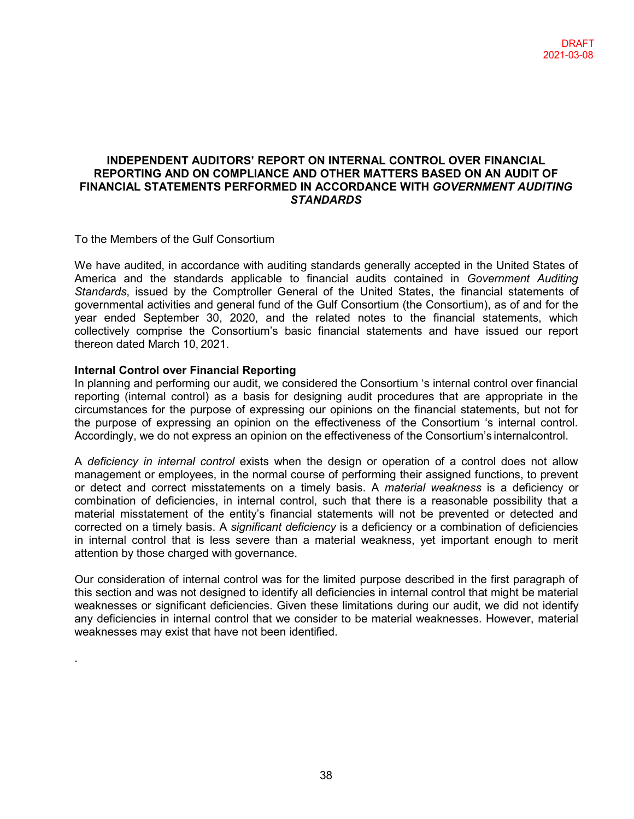#### **INDEPENDENT AUDITORS' REPORT ON INTERNAL CONTROL OVER FINANCIAL REPORTING AND ON COMPLIANCE AND OTHER MATTERS BASED ON AN AUDIT OF FINANCIAL STATEMENTS PERFORMED IN ACCORDANCE WITH** *GOVERNMENT AUDITING STANDARDS*

To the Members of the Gulf Consortium

We have audited, in accordance with auditing standards generally accepted in the United States of America and the standards applicable to financial audits contained in *Government Auditing Standards*, issued by the Comptroller General of the United States, the financial statements of governmental activities and general fund of the Gulf Consortium (the Consortium), as of and for the year ended September 30, 2020, and the related notes to the financial statements, which collectively comprise the Consortium's basic financial statements and have issued our report thereon dated March 10, 2021.

#### **Internal Control over Financial Reporting**

.

In planning and performing our audit, we considered the Consortium 's internal control over financial reporting (internal control) as a basis for designing audit procedures that are appropriate in the circumstances for the purpose of expressing our opinions on the financial statements, but not for the purpose of expressing an opinion on the effectiveness of the Consortium 's internal control. Accordingly, we do not express an opinion on the effectiveness of the Consortium's internalcontrol.

A *deficiency in internal control* exists when the design or operation of a control does not allow management or employees, in the normal course of performing their assigned functions, to prevent or detect and correct misstatements on a timely basis. A *material weakness* is a deficiency or combination of deficiencies, in internal control, such that there is a reasonable possibility that a material misstatement of the entity's financial statements will not be prevented or detected and corrected on a timely basis. A *significant deficiency* is a deficiency or a combination of deficiencies in internal control that is less severe than a material weakness, yet important enough to merit attention by those charged with governance.

Our consideration of internal control was for the limited purpose described in the first paragraph of this section and was not designed to identify all deficiencies in internal control that might be material weaknesses or significant deficiencies. Given these limitations during our audit, we did not identify any deficiencies in internal control that we consider to be material weaknesses. However, material weaknesses may exist that have not been identified.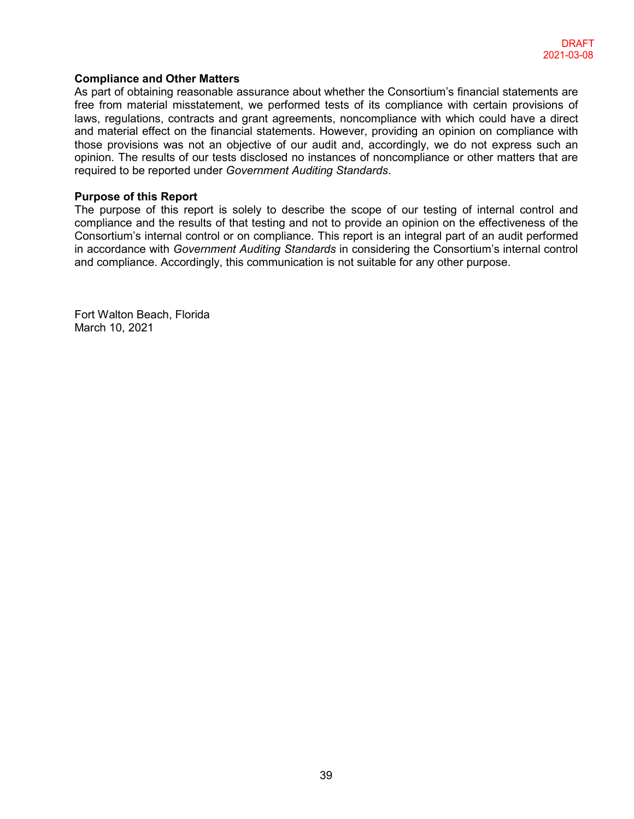#### **Compliance and Other Matters**

As part of obtaining reasonable assurance about whether the Consortium's financial statements are free from material misstatement, we performed tests of its compliance with certain provisions of laws, regulations, contracts and grant agreements, noncompliance with which could have a direct and material effect on the financial statements. However, providing an opinion on compliance with those provisions was not an objective of our audit and, accordingly, we do not express such an opinion. The results of our tests disclosed no instances of noncompliance or other matters that are required to be reported under *Government Auditing Standards*.

#### **Purpose of this Report**

The purpose of this report is solely to describe the scope of our testing of internal control and compliance and the results of that testing and not to provide an opinion on the effectiveness of the Consortium's internal control or on compliance. This report is an integral part of an audit performed in accordance with *Government Auditing Standards* in considering the Consortium's internal control and compliance. Accordingly, this communication is not suitable for any other purpose.

Fort Walton Beach, Florida March 10, 2021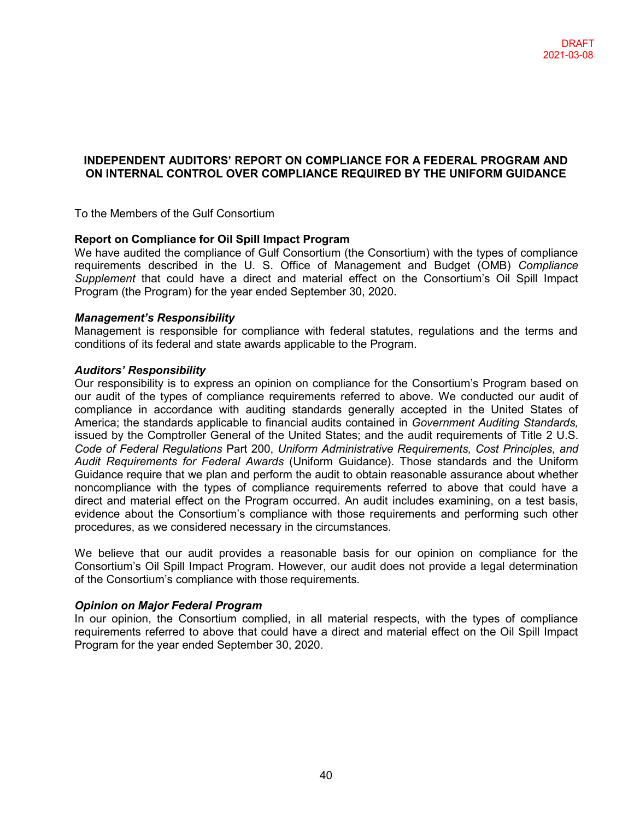#### **INDEPENDENT AUDITORS' REPORT ON COMPLIANCE FOR A FEDERAL PROGRAM AND ON INTERNAL CONTROL OVER COMPLIANCE REQUIRED BY THE UNIFORM GUIDANCE**

To the Members of the Gulf Consortium

#### **Report on Compliance for Oil Spill Impact Program**

We have audited the compliance of Gulf Consortium (the Consortium) with the types of compliance requirements described in the U. S. Office of Management and Budget (OMB) *Compliance Supplement* that could have a direct and material effect on the Consortium's Oil Spill Impact Program (the Program) for the year ended September 30, 2020.

#### *Management's Responsibility*

Management is responsible for compliance with federal statutes, regulations and the terms and conditions of its federal and state awards applicable to the Program.

#### *Auditors' Responsibility*

Our responsibility is to express an opinion on compliance for the Consortium's Program based on our audit of the types of compliance requirements referred to above. We conducted our audit of compliance in accordance with auditing standards generally accepted in the United States of America; the standards applicable to financial audits contained in *Government Auditing Standards,*  issued by the Comptroller General of the United States; and the audit requirements of Title 2 U.S. *Code of Federal Regulations* Part 200, *Uniform Administrative Requirements, Cost Principles, and Audit Requirements for Federal Awards* (Uniform Guidance). Those standards and the Uniform Guidance require that we plan and perform the audit to obtain reasonable assurance about whether noncompliance with the types of compliance requirements referred to above that could have a direct and material effect on the Program occurred. An audit includes examining, on a test basis, evidence about the Consortium's compliance with those requirements and performing such other procedures, as we considered necessary in the circumstances.

We believe that our audit provides a reasonable basis for our opinion on compliance for the Consortium's Oil Spill Impact Program. However, our audit does not provide a legal determination of the Consortium's compliance with those requirements.

#### *Opinion on Major Federal Program*

In our opinion, the Consortium complied, in all material respects, with the types of compliance requirements referred to above that could have a direct and material effect on the Oil Spill Impact Program for the year ended September 30, 2020.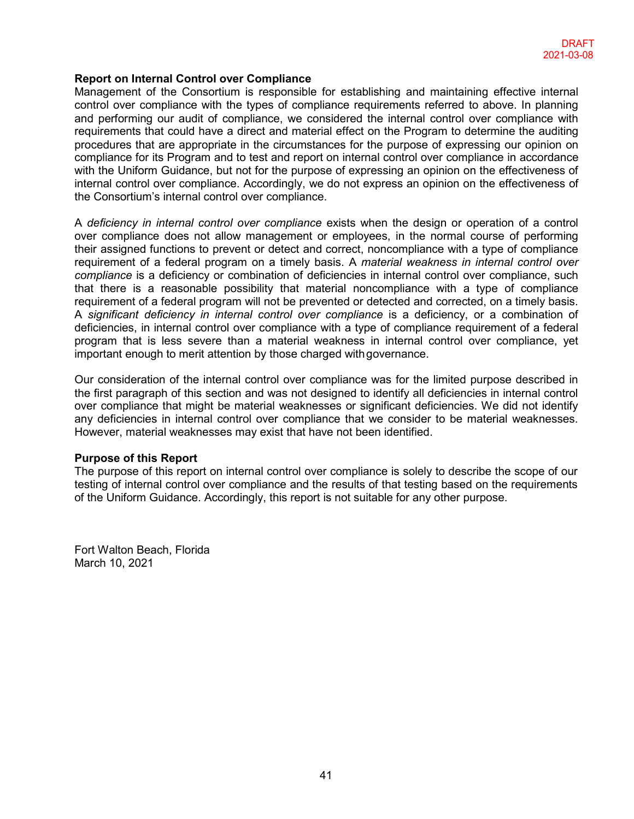#### **Report on Internal Control over Compliance**

Management of the Consortium is responsible for establishing and maintaining effective internal control over compliance with the types of compliance requirements referred to above. In planning and performing our audit of compliance, we considered the internal control over compliance with requirements that could have a direct and material effect on the Program to determine the auditing procedures that are appropriate in the circumstances for the purpose of expressing our opinion on compliance for its Program and to test and report on internal control over compliance in accordance with the Uniform Guidance, but not for the purpose of expressing an opinion on the effectiveness of internal control over compliance. Accordingly, we do not express an opinion on the effectiveness of the Consortium's internal control over compliance.

A *deficiency in internal control over compliance* exists when the design or operation of a control over compliance does not allow management or employees, in the normal course of performing their assigned functions to prevent or detect and correct, noncompliance with a type of compliance requirement of a federal program on a timely basis. A *material weakness in internal control over compliance* is a deficiency or combination of deficiencies in internal control over compliance, such that there is a reasonable possibility that material noncompliance with a type of compliance requirement of a federal program will not be prevented or detected and corrected, on a timely basis. A *significant deficiency in internal control over compliance* is a deficiency, or a combination of deficiencies, in internal control over compliance with a type of compliance requirement of a federal program that is less severe than a material weakness in internal control over compliance, yet important enough to merit attention by those charged withgovernance.

Our consideration of the internal control over compliance was for the limited purpose described in the first paragraph of this section and was not designed to identify all deficiencies in internal control over compliance that might be material weaknesses or significant deficiencies. We did not identify any deficiencies in internal control over compliance that we consider to be material weaknesses. However, material weaknesses may exist that have not been identified.

#### **Purpose of this Report**

The purpose of this report on internal control over compliance is solely to describe the scope of our testing of internal control over compliance and the results of that testing based on the requirements of the Uniform Guidance. Accordingly, this report is not suitable for any other purpose.

Fort Walton Beach, Florida March 10, 2021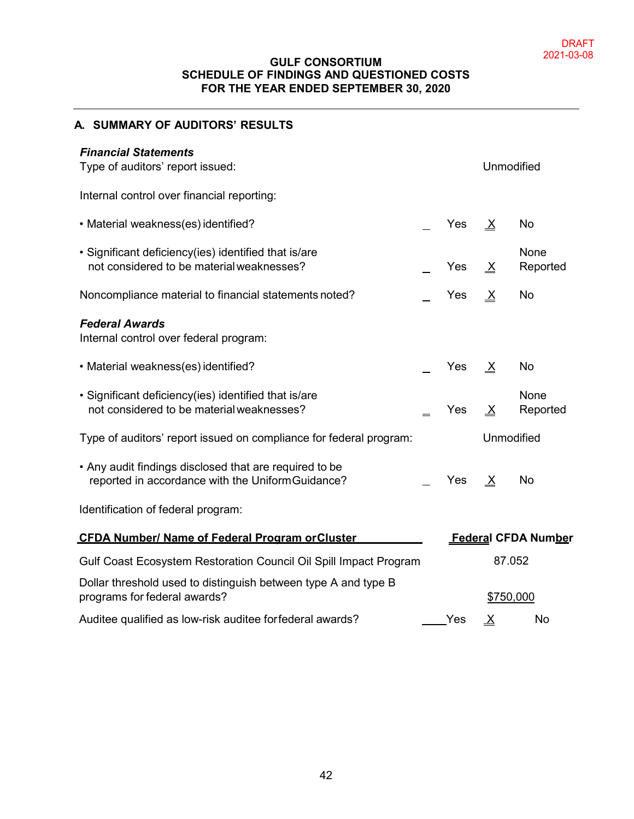#### **GULF CONSORTIUM SCHEDULE OF FINDINGS AND QUESTIONED COSTS FOR THE YEAR ENDED SEPTEMBER 30, 2020**

# **A. SUMMARY OF AUDITORS' RESULTS**

| <b>Financial Statements</b><br>Type of auditors' report issued:                                             |  |                            |                         | Unmodified       |  |  |
|-------------------------------------------------------------------------------------------------------------|--|----------------------------|-------------------------|------------------|--|--|
| Internal control over financial reporting:                                                                  |  |                            |                         |                  |  |  |
| • Material weakness(es) identified?                                                                         |  | Yes                        | $\overline{\mathsf{X}}$ | No               |  |  |
| · Significant deficiency(ies) identified that is/are<br>not considered to be material weaknesses?           |  | Yes                        | <u>X</u>                | None<br>Reported |  |  |
| Noncompliance material to financial statements noted?                                                       |  | Yes                        | $\overline{\mathsf{X}}$ | No               |  |  |
| <b>Federal Awards</b><br>Internal control over federal program:                                             |  |                            |                         |                  |  |  |
| • Material weakness(es) identified?                                                                         |  | Yes                        | <u>X</u>                | No               |  |  |
| • Significant deficiency(ies) identified that is/are<br>not considered to be material weaknesses?           |  | Yes                        | $\overline{X}$          | None<br>Reported |  |  |
| Type of auditors' report issued on compliance for federal program:                                          |  |                            | <b>Unmodified</b>       |                  |  |  |
| • Any audit findings disclosed that are required to be<br>reported in accordance with the Uniform Guidance? |  | Yes                        | $\overline{X}$          | No               |  |  |
| Identification of federal program:                                                                          |  |                            |                         |                  |  |  |
| <b>CFDA Number/ Name of Federal Program orCluster</b>                                                       |  | <b>Federal CFDA Number</b> |                         |                  |  |  |
| Gulf Coast Ecosystem Restoration Council Oil Spill Impact Program                                           |  |                            | 87.052                  |                  |  |  |
| Dollar threshold used to distinguish between type A and type B<br>programs for federal awards?              |  |                            | \$750,000               |                  |  |  |
| Auditee qualified as low-risk auditee for federal awards?                                                   |  | Yes                        | <u>X</u>                | No               |  |  |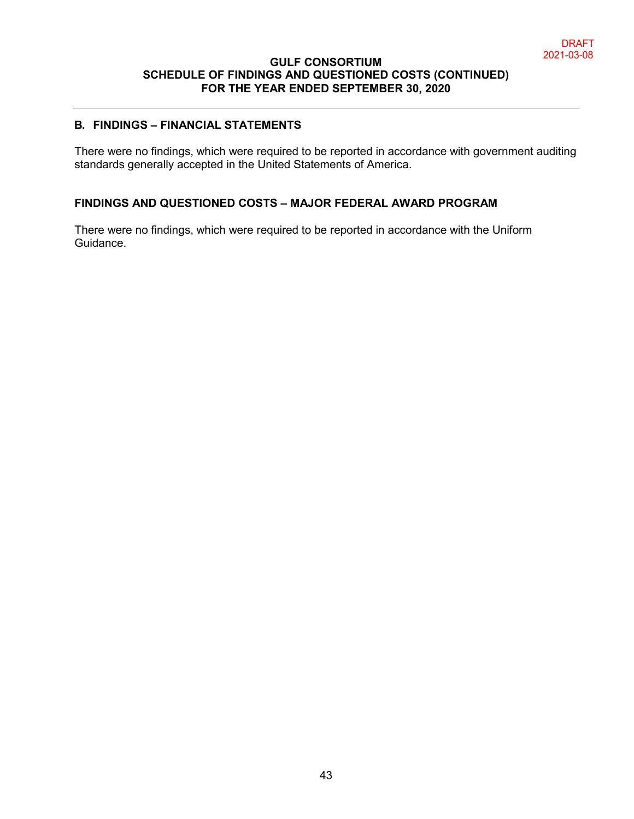# 2021-03-08 **GULF CONSORTIUM SCHEDULE OF FINDINGS AND QUESTIONED COSTS (CONTINUED) FOR THE YEAR ENDED SEPTEMBER 30, 2020**

# **B. FINDINGS – FINANCIAL STATEMENTS**

There were no findings, which were required to be reported in accordance with government auditing standards generally accepted in the United Statements of America.

#### **FINDINGS AND QUESTIONED COSTS – MAJOR FEDERAL AWARD PROGRAM**

There were no findings, which were required to be reported in accordance with the Uniform Guidance.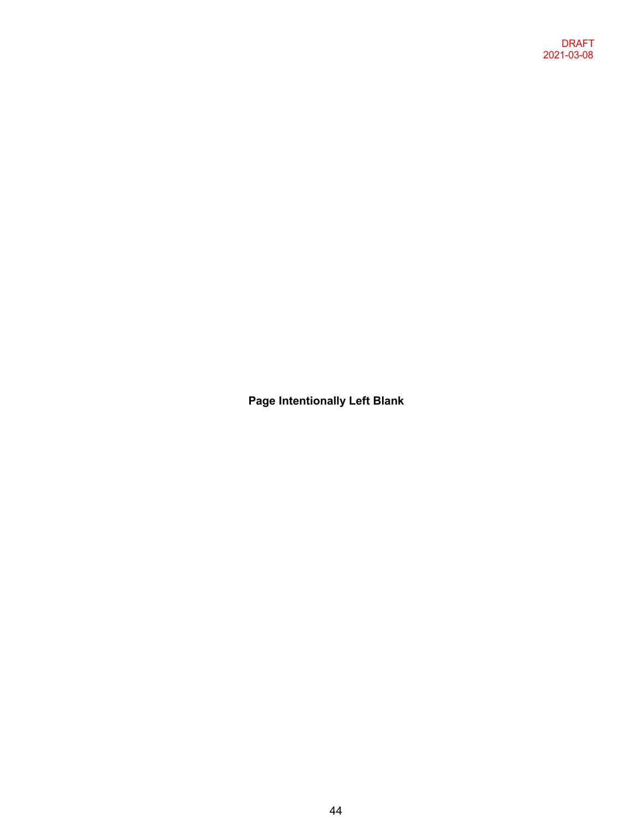**Page Intentionally Left Blank**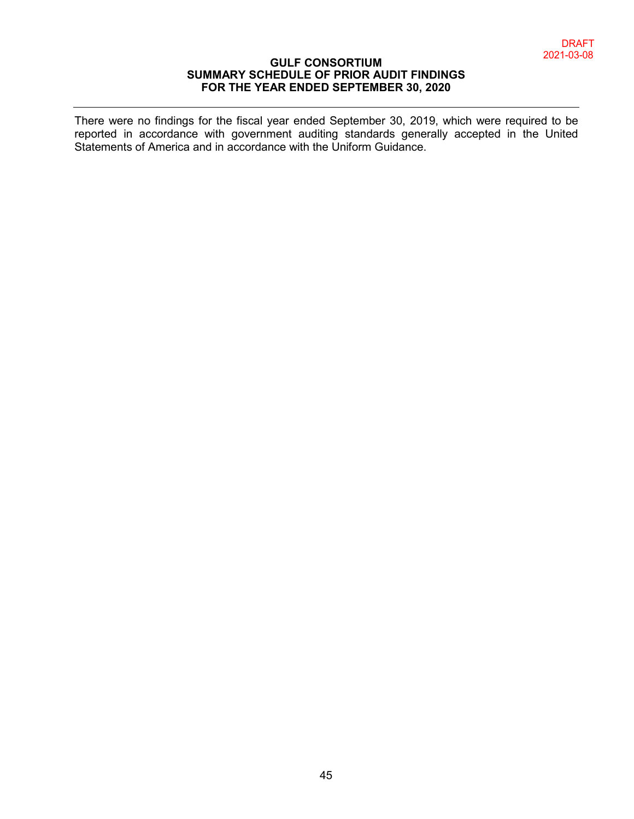# 2021-03-08 **GULF CONSORTIUM SUMMARY SCHEDULE OF PRIOR AUDIT FINDINGS FOR THE YEAR ENDED SEPTEMBER 30, 2020**

There were no findings for the fiscal year ended September 30, 2019, which were required to be reported in accordance with government auditing standards generally accepted in the United Statements of America and in accordance with the Uniform Guidance.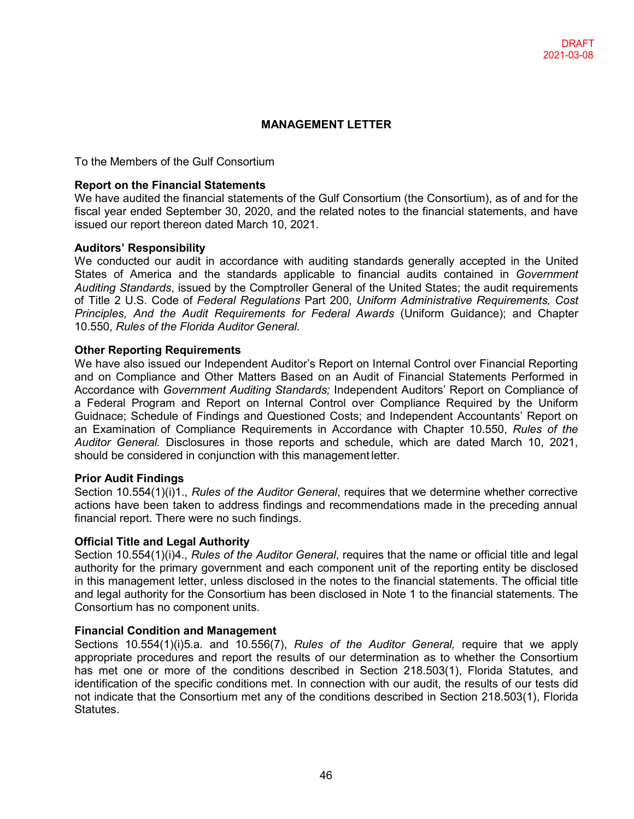### **MANAGEMENT LETTER**

<span id="page-45-0"></span>To the Members of the Gulf Consortium

#### **Report on the Financial Statements**

We have audited the financial statements of the Gulf Consortium (the Consortium), as of and for the fiscal year ended September 30, 2020, and the related notes to the financial statements, and have issued our report thereon dated March 10, 2021.

#### **Auditors' Responsibility**

We conducted our audit in accordance with auditing standards generally accepted in the United States of America and the standards applicable to financial audits contained in *Government Auditing Standards*, issued by the Comptroller General of the United States; the audit requirements of Title 2 U.S. Code of *Federal Regulations* Part 200, *Uniform Administrative Requirements, Cost Principles, And the Audit Requirements for Federal Awards* (Uniform Guidance); and Chapter 10.550, *Rules of the Florida Auditor General*.

#### **Other Reporting Requirements**

We have also issued our Independent Auditor's Report on Internal Control over Financial Reporting and on Compliance and Other Matters Based on an Audit of Financial Statements Performed in Accordance with *Government Auditing Standards;* Independent Auditors' Report on Compliance of a Federal Program and Report on Internal Control over Compliance Required by the Uniform Guidnace; Schedule of Findings and Questioned Costs; and Independent Accountants' Report on an Examination of Compliance Requirements in Accordance with Chapter 10.550, *Rules of the Auditor General.* Disclosures in those reports and schedule, which are dated March 10, 2021, should be considered in conjunction with this management letter.

#### **Prior Audit Findings**

Section 10.554(1)(i)1., *Rules of the Auditor General*, requires that we determine whether corrective actions have been taken to address findings and recommendations made in the preceding annual financial report. There were no such findings.

#### **Official Title and Legal Authority**

Section 10.554(1)(i)4., *Rules of the Auditor General*, requires that the name or official title and legal authority for the primary government and each component unit of the reporting entity be disclosed in this management letter, unless disclosed in the notes to the financial statements. The official title and legal authority for the Consortium has been disclosed in Note 1 to the financial statements. The Consortium has no component units.

#### **Financial Condition and Management**

Sections 10.554(1)(i)5.a. and 10.556(7), *Rules of the Auditor General,* require that we apply appropriate procedures and report the results of our determination as to whether the Consortium has met one or more of the conditions described in Section 218.503(1), Florida Statutes, and identification of the specific conditions met. In connection with our audit, the results of our tests did not indicate that the Consortium met any of the conditions described in Section 218.503(1), Florida Statutes.